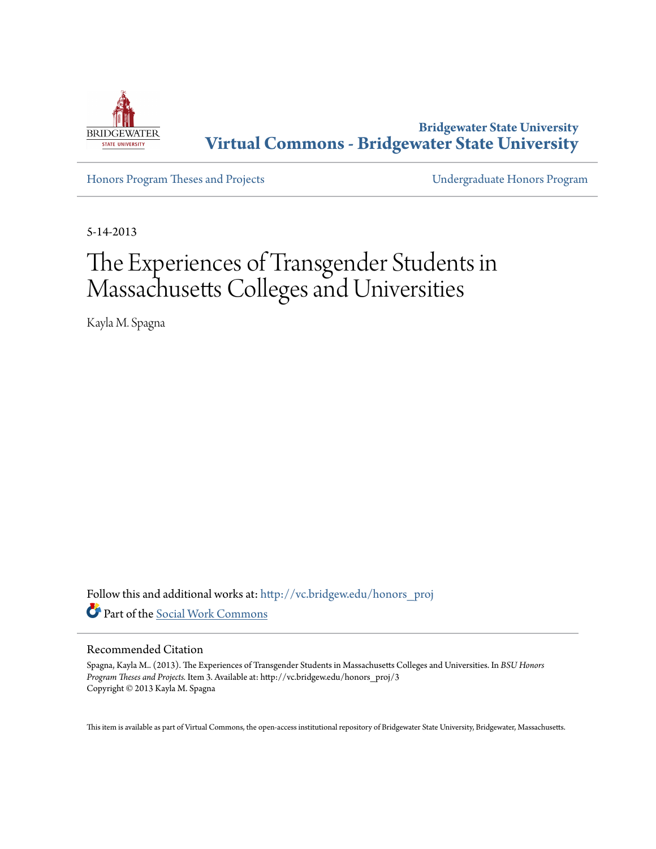

**Bridgewater State University [Virtual Commons - Bridgewater State University](http://vc.bridgew.edu?utm_source=vc.bridgew.edu%2Fhonors_proj%2F3&utm_medium=PDF&utm_campaign=PDFCoverPages)**

[Honors Program Theses and Projects](http://vc.bridgew.edu/honors_proj?utm_source=vc.bridgew.edu%2Fhonors_proj%2F3&utm_medium=PDF&utm_campaign=PDFCoverPages) [Undergraduate Honors Program](http://vc.bridgew.edu/honors?utm_source=vc.bridgew.edu%2Fhonors_proj%2F3&utm_medium=PDF&utm_campaign=PDFCoverPages)

5-14-2013

# The Experiences of Transgender Students in Massachusetts Colleges and Universities

Kayla M. Spagna

Follow this and additional works at: [http://vc.bridgew.edu/honors\\_proj](http://vc.bridgew.edu/honors_proj?utm_source=vc.bridgew.edu%2Fhonors_proj%2F3&utm_medium=PDF&utm_campaign=PDFCoverPages) Part of the [Social Work Commons](http://network.bepress.com/hgg/discipline/713?utm_source=vc.bridgew.edu%2Fhonors_proj%2F3&utm_medium=PDF&utm_campaign=PDFCoverPages)

# Recommended Citation

Spagna, Kayla M.. (2013). The Experiences of Transgender Students in Massachusetts Colleges and Universities. In *BSU Honors Program Theses and Projects.* Item 3. Available at: http://vc.bridgew.edu/honors\_proj/3 Copyright © 2013 Kayla M. Spagna

This item is available as part of Virtual Commons, the open-access institutional repository of Bridgewater State University, Bridgewater, Massachusetts.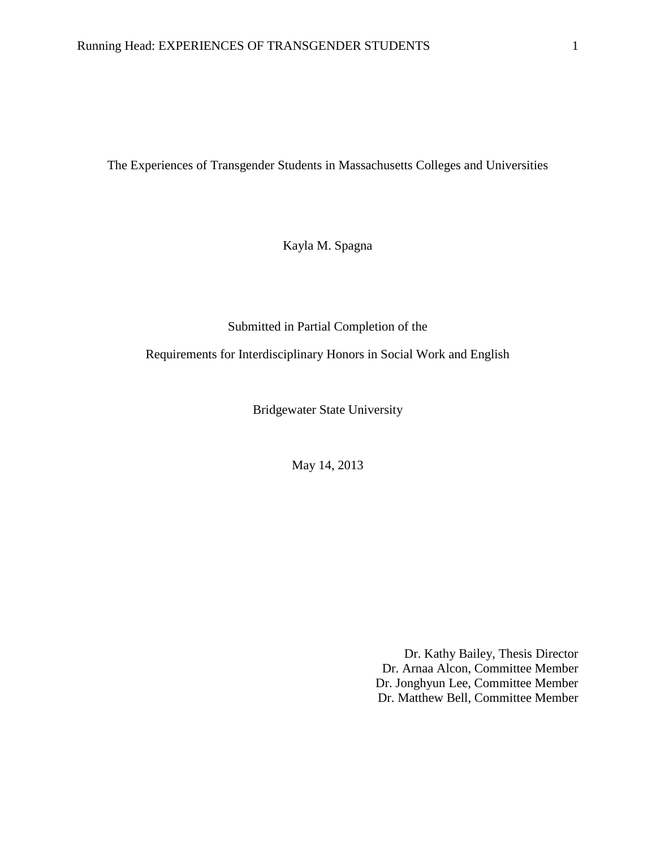The Experiences of Transgender Students in Massachusetts Colleges and Universities

Kayla M. Spagna

Submitted in Partial Completion of the

Requirements for Interdisciplinary Honors in Social Work and English

Bridgewater State University

May 14, 2013

Dr. Kathy Bailey, Thesis Director Dr. Arnaa Alcon, Committee Member Dr. Jonghyun Lee, Committee Member Dr. Matthew Bell, Committee Member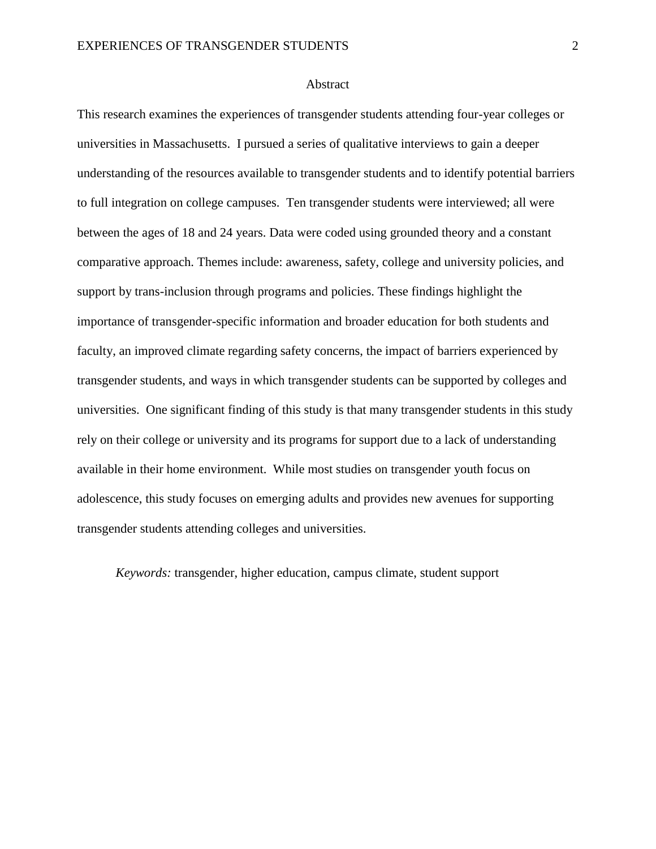## Abstract

This research examines the experiences of transgender students attending four-year colleges or universities in Massachusetts. I pursued a series of qualitative interviews to gain a deeper understanding of the resources available to transgender students and to identify potential barriers to full integration on college campuses. Ten transgender students were interviewed; all were between the ages of 18 and 24 years. Data were coded using grounded theory and a constant comparative approach. Themes include: awareness, safety, college and university policies, and support by trans-inclusion through programs and policies. These findings highlight the importance of transgender-specific information and broader education for both students and faculty, an improved climate regarding safety concerns, the impact of barriers experienced by transgender students, and ways in which transgender students can be supported by colleges and universities. One significant finding of this study is that many transgender students in this study rely on their college or university and its programs for support due to a lack of understanding available in their home environment. While most studies on transgender youth focus on adolescence, this study focuses on emerging adults and provides new avenues for supporting transgender students attending colleges and universities.

*Keywords:* transgender, higher education, campus climate, student support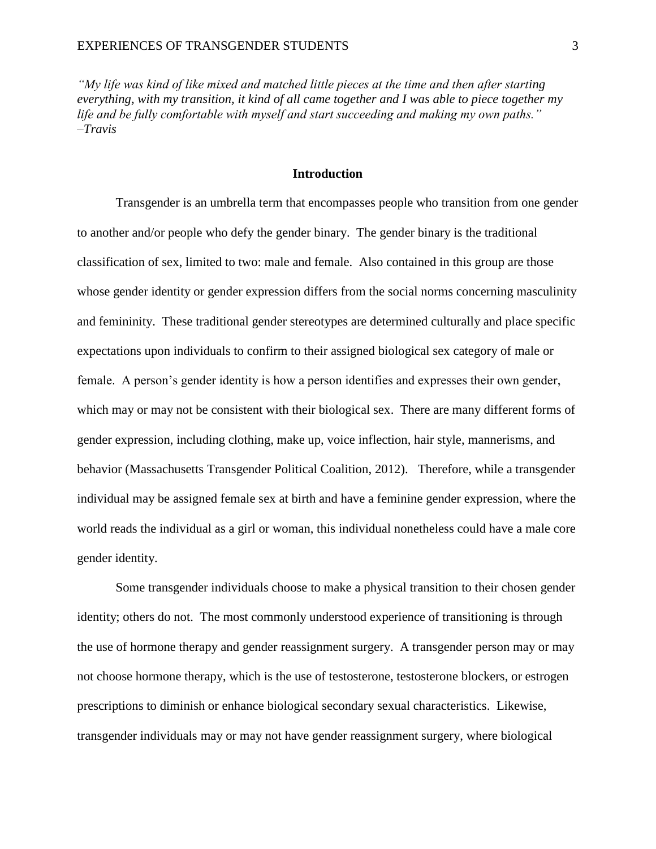*"My life was kind of like mixed and matched little pieces at the time and then after starting everything, with my transition, it kind of all came together and I was able to piece together my life and be fully comfortable with myself and start succeeding and making my own paths." –Travis*

# **Introduction**

Transgender is an umbrella term that encompasses people who transition from one gender to another and/or people who defy the gender binary. The gender binary is the traditional classification of sex, limited to two: male and female. Also contained in this group are those whose gender identity or gender expression differs from the social norms concerning masculinity and femininity. These traditional gender stereotypes are determined culturally and place specific expectations upon individuals to confirm to their assigned biological sex category of male or female. A person's gender identity is how a person identifies and expresses their own gender, which may or may not be consistent with their biological sex. There are many different forms of gender expression, including clothing, make up, voice inflection, hair style, mannerisms, and behavior (Massachusetts Transgender Political Coalition, 2012). Therefore, while a transgender individual may be assigned female sex at birth and have a feminine gender expression, where the world reads the individual as a girl or woman, this individual nonetheless could have a male core gender identity.

Some transgender individuals choose to make a physical transition to their chosen gender identity; others do not. The most commonly understood experience of transitioning is through the use of hormone therapy and gender reassignment surgery. A transgender person may or may not choose hormone therapy, which is the use of testosterone, testosterone blockers, or estrogen prescriptions to diminish or enhance biological secondary sexual characteristics. Likewise, transgender individuals may or may not have gender reassignment surgery, where biological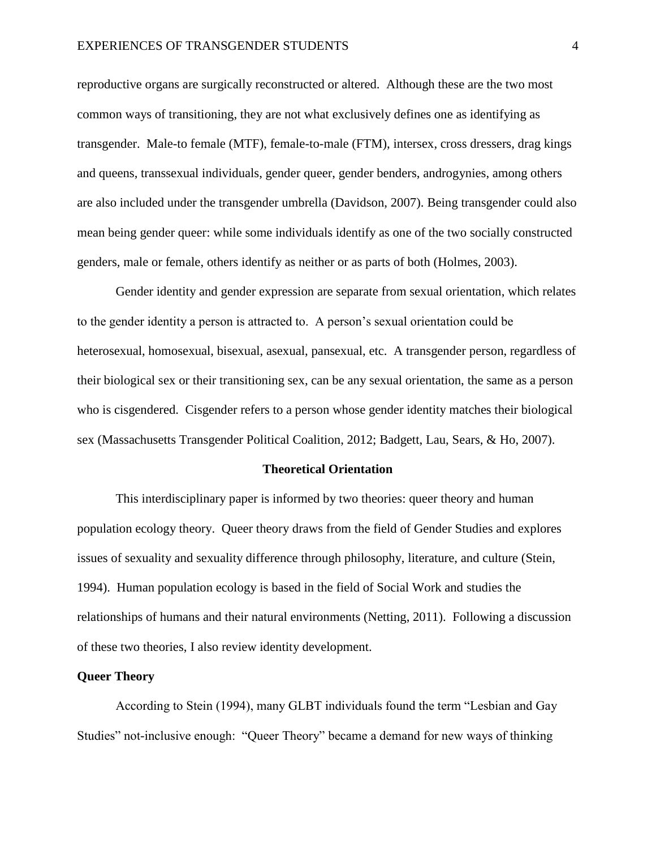reproductive organs are surgically reconstructed or altered. Although these are the two most common ways of transitioning, they are not what exclusively defines one as identifying as transgender. Male-to female (MTF), female-to-male (FTM), intersex, cross dressers, drag kings and queens, transsexual individuals, gender queer, gender benders, androgynies, among others are also included under the transgender umbrella (Davidson, 2007). Being transgender could also mean being gender queer: while some individuals identify as one of the two socially constructed genders, male or female, others identify as neither or as parts of both (Holmes, 2003).

Gender identity and gender expression are separate from sexual orientation, which relates to the gender identity a person is attracted to. A person's sexual orientation could be heterosexual, homosexual, bisexual, asexual, pansexual, etc. A transgender person, regardless of their biological sex or their transitioning sex, can be any sexual orientation, the same as a person who is cisgendered. Cisgender refers to a person whose gender identity matches their biological sex (Massachusetts Transgender Political Coalition, 2012; Badgett, Lau, Sears, & Ho, 2007).

## **Theoretical Orientation**

This interdisciplinary paper is informed by two theories: queer theory and human population ecology theory. Queer theory draws from the field of Gender Studies and explores issues of sexuality and sexuality difference through philosophy, literature, and culture (Stein, 1994). Human population ecology is based in the field of Social Work and studies the relationships of humans and their natural environments (Netting, 2011). Following a discussion of these two theories, I also review identity development.

#### **Queer Theory**

According to Stein (1994), many GLBT individuals found the term "Lesbian and Gay Studies" not-inclusive enough: "Queer Theory" became a demand for new ways of thinking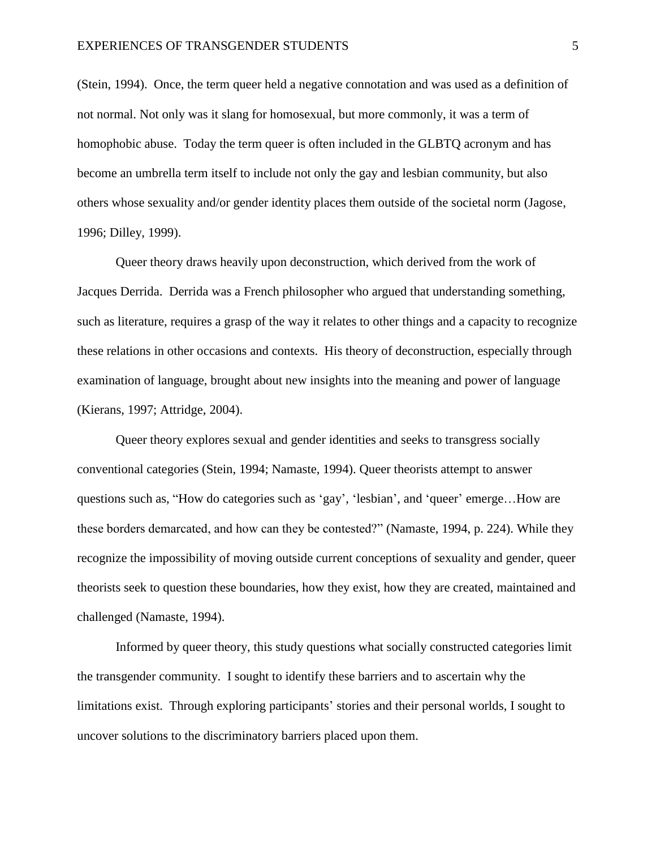(Stein, 1994). Once, the term queer held a negative connotation and was used as a definition of not normal. Not only was it slang for homosexual, but more commonly, it was a term of homophobic abuse. Today the term queer is often included in the GLBTQ acronym and has become an umbrella term itself to include not only the gay and lesbian community, but also others whose sexuality and/or gender identity places them outside of the societal norm (Jagose, 1996; Dilley, 1999).

Queer theory draws heavily upon deconstruction, which derived from the work of Jacques Derrida. Derrida was a French philosopher who argued that understanding something, such as literature, requires a grasp of the way it relates to other things and a capacity to recognize these relations in other occasions and contexts. His theory of deconstruction, especially through examination of language, brought about new insights into the meaning and power of language (Kierans, 1997; Attridge, 2004).

Queer theory explores sexual and gender identities and seeks to transgress socially conventional categories (Stein, 1994; Namaste, 1994). Queer theorists attempt to answer questions such as, "How do categories such as 'gay', 'lesbian', and 'queer' emerge…How are these borders demarcated, and how can they be contested?" (Namaste, 1994, p. 224). While they recognize the impossibility of moving outside current conceptions of sexuality and gender, queer theorists seek to question these boundaries, how they exist, how they are created, maintained and challenged (Namaste, 1994).

Informed by queer theory, this study questions what socially constructed categories limit the transgender community. I sought to identify these barriers and to ascertain why the limitations exist. Through exploring participants' stories and their personal worlds, I sought to uncover solutions to the discriminatory barriers placed upon them.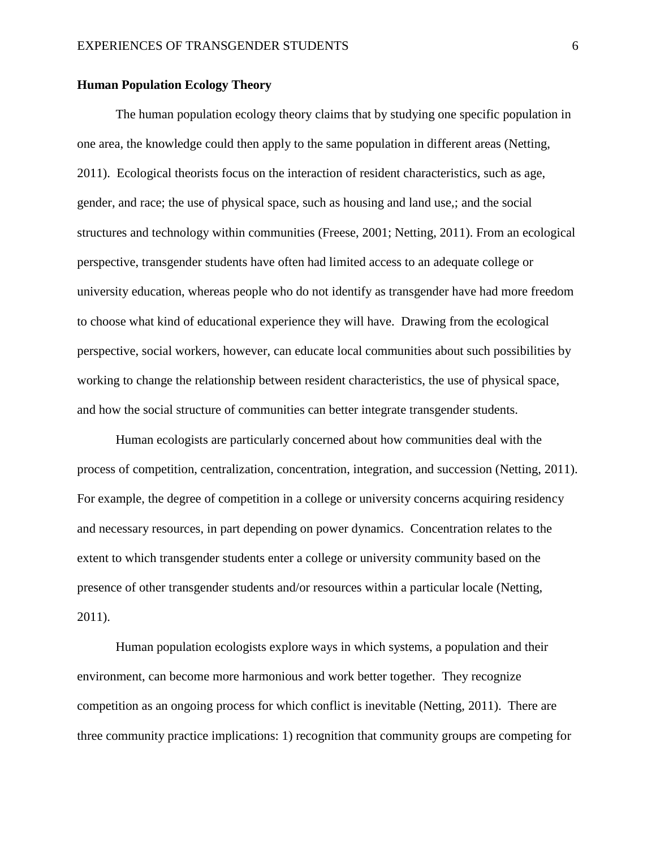# **Human Population Ecology Theory**

The human population ecology theory claims that by studying one specific population in one area, the knowledge could then apply to the same population in different areas (Netting, 2011). Ecological theorists focus on the interaction of resident characteristics, such as age, gender, and race; the use of physical space, such as housing and land use,; and the social structures and technology within communities (Freese, 2001; Netting, 2011). From an ecological perspective, transgender students have often had limited access to an adequate college or university education, whereas people who do not identify as transgender have had more freedom to choose what kind of educational experience they will have. Drawing from the ecological perspective, social workers, however, can educate local communities about such possibilities by working to change the relationship between resident characteristics, the use of physical space, and how the social structure of communities can better integrate transgender students.

Human ecologists are particularly concerned about how communities deal with the process of competition, centralization, concentration, integration, and succession (Netting, 2011). For example, the degree of competition in a college or university concerns acquiring residency and necessary resources, in part depending on power dynamics. Concentration relates to the extent to which transgender students enter a college or university community based on the presence of other transgender students and/or resources within a particular locale (Netting, 2011).

Human population ecologists explore ways in which systems, a population and their environment, can become more harmonious and work better together. They recognize competition as an ongoing process for which conflict is inevitable (Netting, 2011). There are three community practice implications: 1) recognition that community groups are competing for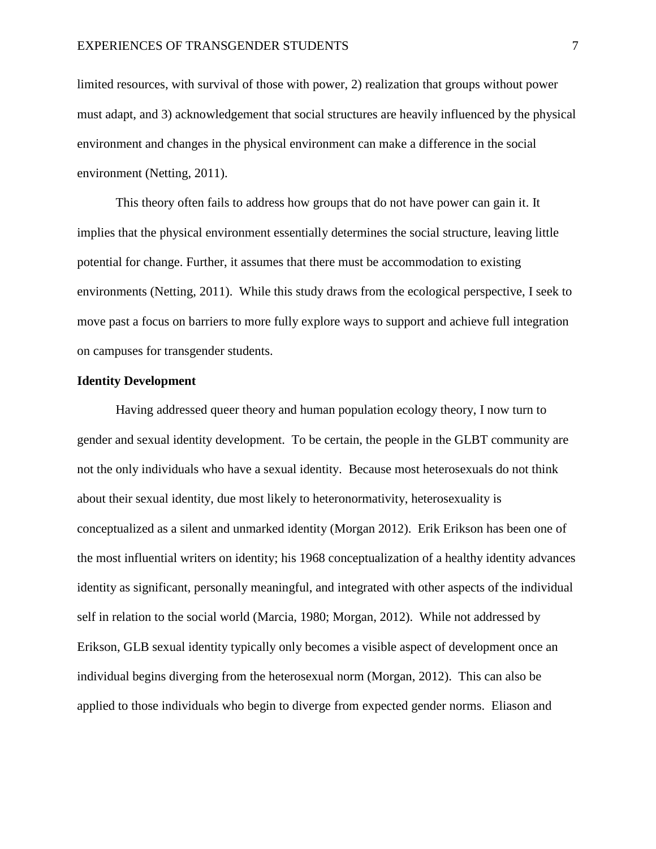limited resources, with survival of those with power, 2) realization that groups without power must adapt, and 3) acknowledgement that social structures are heavily influenced by the physical environment and changes in the physical environment can make a difference in the social environment (Netting, 2011).

This theory often fails to address how groups that do not have power can gain it. It implies that the physical environment essentially determines the social structure, leaving little potential for change. Further, it assumes that there must be accommodation to existing environments (Netting, 2011). While this study draws from the ecological perspective, I seek to move past a focus on barriers to more fully explore ways to support and achieve full integration on campuses for transgender students.

# **Identity Development**

Having addressed queer theory and human population ecology theory, I now turn to gender and sexual identity development. To be certain, the people in the GLBT community are not the only individuals who have a sexual identity. Because most heterosexuals do not think about their sexual identity, due most likely to heteronormativity, heterosexuality is conceptualized as a silent and unmarked identity (Morgan 2012). Erik Erikson has been one of the most influential writers on identity; his 1968 conceptualization of a healthy identity advances identity as significant, personally meaningful, and integrated with other aspects of the individual self in relation to the social world (Marcia, 1980; Morgan, 2012). While not addressed by Erikson, GLB sexual identity typically only becomes a visible aspect of development once an individual begins diverging from the heterosexual norm (Morgan, 2012). This can also be applied to those individuals who begin to diverge from expected gender norms. Eliason and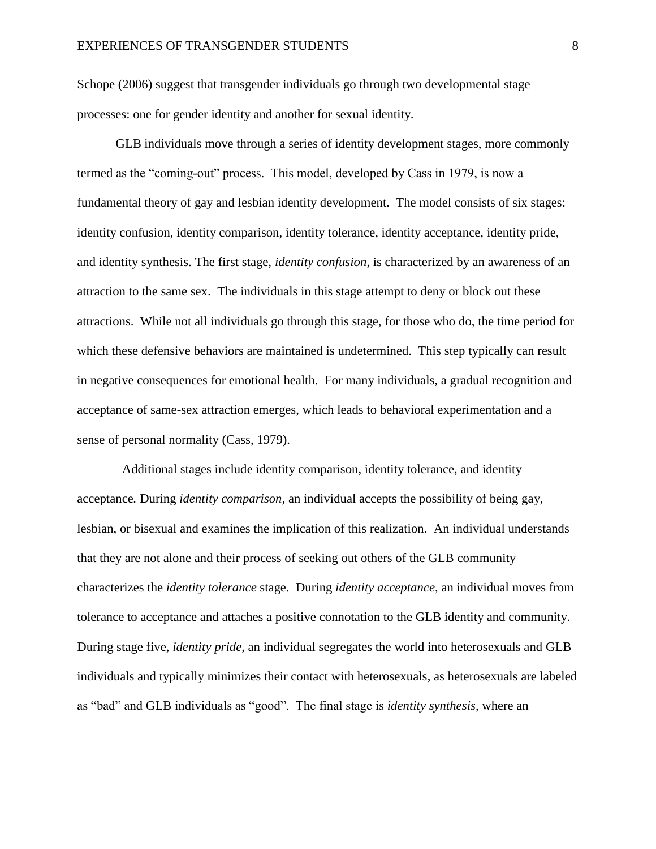Schope (2006) suggest that transgender individuals go through two developmental stage processes: one for gender identity and another for sexual identity.

GLB individuals move through a series of identity development stages, more commonly termed as the "coming-out" process. This model, developed by Cass in 1979, is now a fundamental theory of gay and lesbian identity development. The model consists of six stages: identity confusion, identity comparison, identity tolerance, identity acceptance, identity pride, and identity synthesis. The first stage, *identity confusion*, is characterized by an awareness of an attraction to the same sex. The individuals in this stage attempt to deny or block out these attractions. While not all individuals go through this stage, for those who do, the time period for which these defensive behaviors are maintained is undetermined. This step typically can result in negative consequences for emotional health. For many individuals, a gradual recognition and acceptance of same-sex attraction emerges, which leads to behavioral experimentation and a sense of personal normality (Cass, 1979).

 Additional stages include identity comparison, identity tolerance, and identity acceptance*.* During *identity comparison,* an individual accepts the possibility of being gay, lesbian, or bisexual and examines the implication of this realization. An individual understands that they are not alone and their process of seeking out others of the GLB community characterizes the *identity tolerance* stage. During *identity acceptance,* an individual moves from tolerance to acceptance and attaches a positive connotation to the GLB identity and community. During stage five*, identity pride*, an individual segregates the world into heterosexuals and GLB individuals and typically minimizes their contact with heterosexuals, as heterosexuals are labeled as "bad" and GLB individuals as "good". The final stage is *identity synthesis*, where an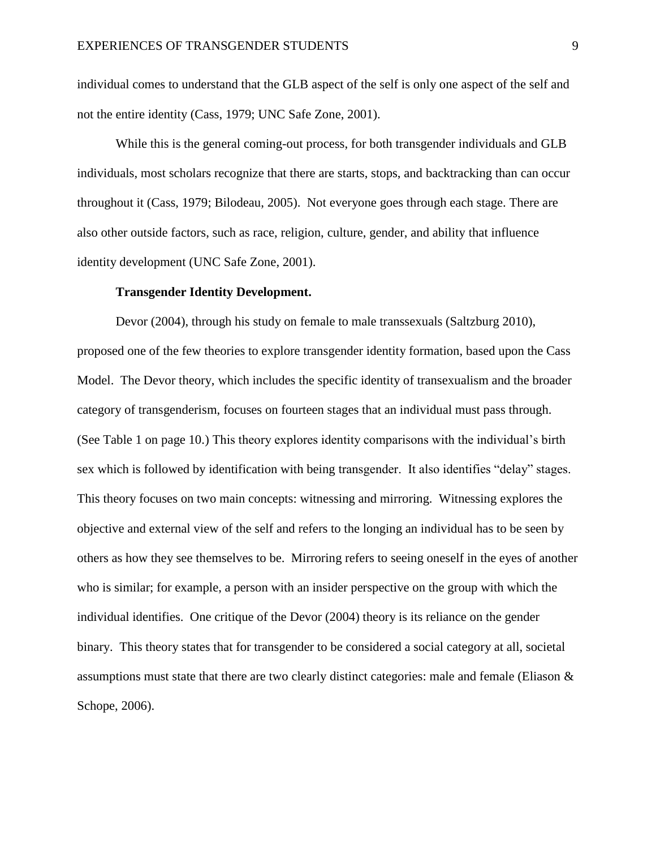individual comes to understand that the GLB aspect of the self is only one aspect of the self and not the entire identity (Cass, 1979; UNC Safe Zone, 2001).

While this is the general coming-out process, for both transgender individuals and GLB individuals, most scholars recognize that there are starts, stops, and backtracking than can occur throughout it (Cass, 1979; Bilodeau, 2005). Not everyone goes through each stage. There are also other outside factors, such as race, religion, culture, gender, and ability that influence identity development (UNC Safe Zone, 2001).

# **Transgender Identity Development.**

Devor (2004), through his study on female to male transsexuals (Saltzburg 2010), proposed one of the few theories to explore transgender identity formation, based upon the Cass Model. The Devor theory, which includes the specific identity of transexualism and the broader category of transgenderism, focuses on fourteen stages that an individual must pass through. (See Table 1 on page 10.) This theory explores identity comparisons with the individual's birth sex which is followed by identification with being transgender. It also identifies "delay" stages. This theory focuses on two main concepts: witnessing and mirroring. Witnessing explores the objective and external view of the self and refers to the longing an individual has to be seen by others as how they see themselves to be. Mirroring refers to seeing oneself in the eyes of another who is similar; for example, a person with an insider perspective on the group with which the individual identifies. One critique of the Devor (2004) theory is its reliance on the gender binary. This theory states that for transgender to be considered a social category at all, societal assumptions must state that there are two clearly distinct categories: male and female (Eliason & Schope, 2006).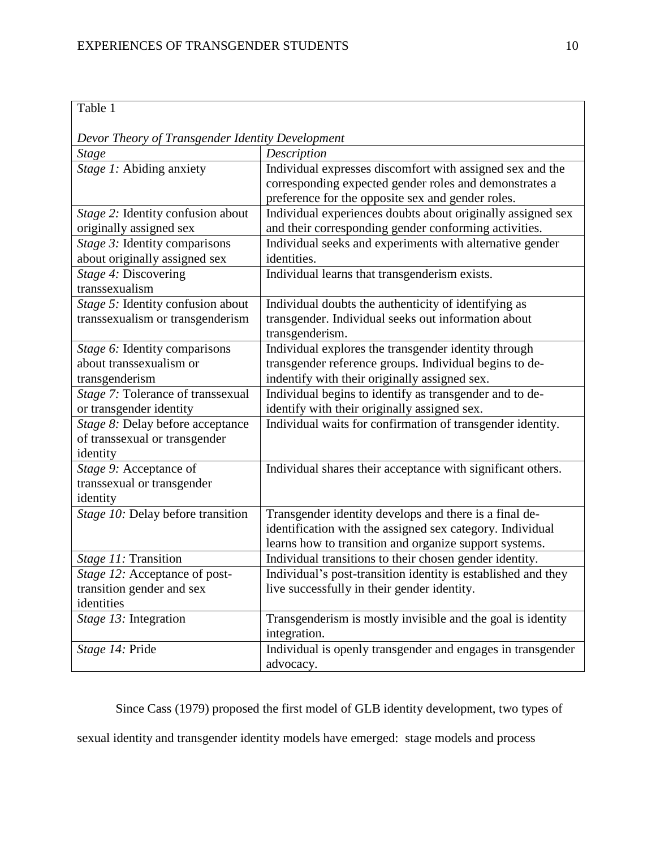| Table 1                                          |                                                               |
|--------------------------------------------------|---------------------------------------------------------------|
| Devor Theory of Transgender Identity Development |                                                               |
| Stage                                            | Description                                                   |
| Stage 1: Abiding anxiety                         | Individual expresses discomfort with assigned sex and the     |
|                                                  | corresponding expected gender roles and demonstrates a        |
|                                                  | preference for the opposite sex and gender roles.             |
| Stage 2: Identity confusion about                | Individual experiences doubts about originally assigned sex   |
| originally assigned sex                          | and their corresponding gender conforming activities.         |
| Stage 3: Identity comparisons                    | Individual seeks and experiments with alternative gender      |
| about originally assigned sex                    | identities.                                                   |
| Stage 4: Discovering                             | Individual learns that transgenderism exists.                 |
| transsexualism                                   |                                                               |
| Stage 5: Identity confusion about                | Individual doubts the authenticity of identifying as          |
| transsexualism or transgenderism                 | transgender. Individual seeks out information about           |
|                                                  | transgenderism.                                               |
| Stage 6: Identity comparisons                    | Individual explores the transgender identity through          |
| about transsexualism or                          | transgender reference groups. Individual begins to de-        |
| transgenderism                                   | indentify with their originally assigned sex.                 |
| Stage 7: Tolerance of transsexual                | Individual begins to identify as transgender and to de-       |
| or transgender identity                          | identify with their originally assigned sex.                  |
| Stage 8: Delay before acceptance                 | Individual waits for confirmation of transgender identity.    |
| of transsexual or transgender                    |                                                               |
| identity                                         |                                                               |
| Stage 9: Acceptance of                           | Individual shares their acceptance with significant others.   |
| transsexual or transgender                       |                                                               |
| identity                                         |                                                               |
| Stage 10: Delay before transition                | Transgender identity develops and there is a final de-        |
|                                                  | identification with the assigned sex category. Individual     |
|                                                  | learns how to transition and organize support systems.        |
| Stage 11: Transition                             | Individual transitions to their chosen gender identity.       |
| Stage 12: Acceptance of post-                    | Individual's post-transition identity is established and they |
| transition gender and sex                        | live successfully in their gender identity.                   |
| identities                                       |                                                               |
| Stage 13: Integration                            | Transgenderism is mostly invisible and the goal is identity   |
|                                                  | integration.                                                  |
| Stage 14: Pride                                  | Individual is openly transgender and engages in transgender   |
|                                                  | advocacy.                                                     |

Since Cass (1979) proposed the first model of GLB identity development, two types of

sexual identity and transgender identity models have emerged: stage models and process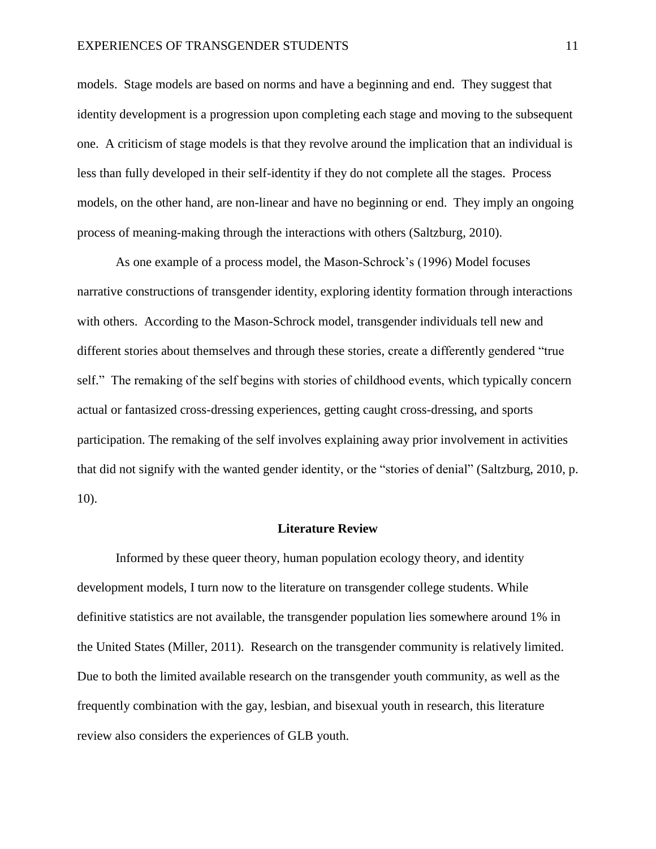#### EXPERIENCES OF TRANSGENDER STUDENTS 11

models. Stage models are based on norms and have a beginning and end. They suggest that identity development is a progression upon completing each stage and moving to the subsequent one. A criticism of stage models is that they revolve around the implication that an individual is less than fully developed in their self-identity if they do not complete all the stages. Process models, on the other hand, are non-linear and have no beginning or end. They imply an ongoing process of meaning-making through the interactions with others (Saltzburg, 2010).

As one example of a process model, the Mason-Schrock's (1996) Model focuses narrative constructions of transgender identity, exploring identity formation through interactions with others. According to the Mason-Schrock model, transgender individuals tell new and different stories about themselves and through these stories, create a differently gendered "true self." The remaking of the self begins with stories of childhood events, which typically concern actual or fantasized cross-dressing experiences, getting caught cross-dressing, and sports participation. The remaking of the self involves explaining away prior involvement in activities that did not signify with the wanted gender identity, or the "stories of denial" (Saltzburg, 2010, p. 10).

## **Literature Review**

Informed by these queer theory, human population ecology theory, and identity development models, I turn now to the literature on transgender college students. While definitive statistics are not available, the transgender population lies somewhere around 1% in the United States (Miller, 2011). Research on the transgender community is relatively limited. Due to both the limited available research on the transgender youth community, as well as the frequently combination with the gay, lesbian, and bisexual youth in research, this literature review also considers the experiences of GLB youth.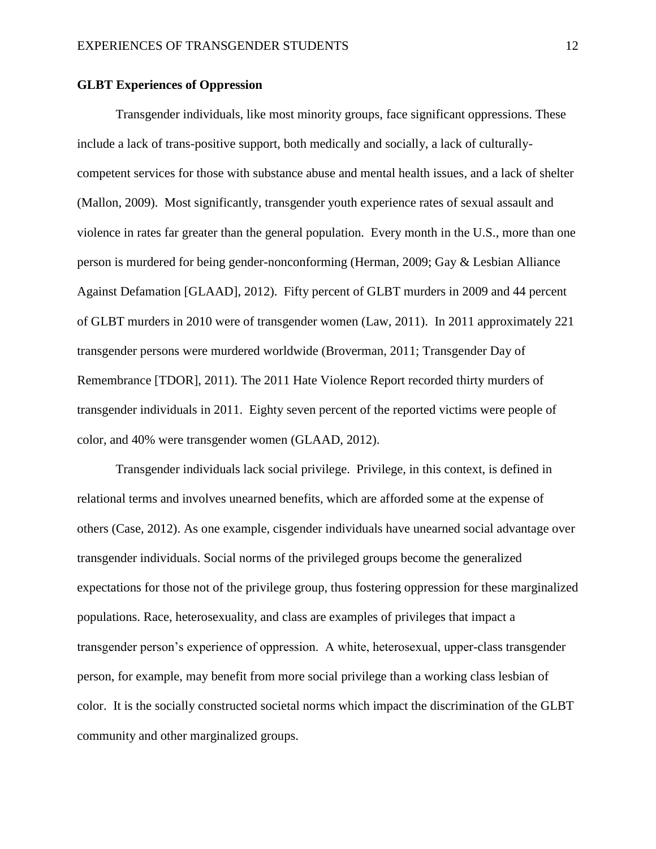# **GLBT Experiences of Oppression**

Transgender individuals, like most minority groups, face significant oppressions. These include a lack of trans-positive support, both medically and socially, a lack of culturallycompetent services for those with substance abuse and mental health issues, and a lack of shelter (Mallon, 2009). Most significantly, transgender youth experience rates of sexual assault and violence in rates far greater than the general population. Every month in the U.S., more than one person is murdered for being gender-nonconforming (Herman, 2009; Gay & Lesbian Alliance Against Defamation [GLAAD], 2012). Fifty percent of GLBT murders in 2009 and 44 percent of GLBT murders in 2010 were of transgender women (Law, 2011). In 2011 approximately 221 transgender persons were murdered worldwide (Broverman, 2011; Transgender Day of Remembrance [TDOR], 2011). The 2011 Hate Violence Report recorded thirty murders of transgender individuals in 2011. Eighty seven percent of the reported victims were people of color, and 40% were transgender women (GLAAD, 2012).

Transgender individuals lack social privilege. Privilege, in this context, is defined in relational terms and involves unearned benefits, which are afforded some at the expense of others (Case, 2012). As one example, cisgender individuals have unearned social advantage over transgender individuals. Social norms of the privileged groups become the generalized expectations for those not of the privilege group, thus fostering oppression for these marginalized populations. Race, heterosexuality, and class are examples of privileges that impact a transgender person's experience of oppression. A white, heterosexual, upper-class transgender person, for example, may benefit from more social privilege than a working class lesbian of color. It is the socially constructed societal norms which impact the discrimination of the GLBT community and other marginalized groups.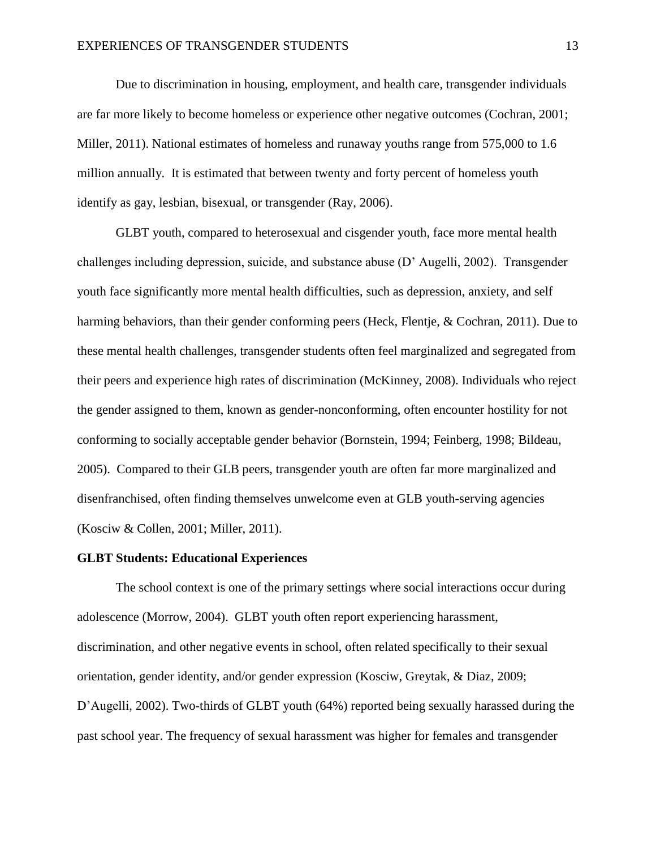Due to discrimination in housing, employment, and health care, transgender individuals are far more likely to become homeless or experience other negative outcomes (Cochran, 2001; Miller, 2011). National estimates of homeless and runaway youths range from 575,000 to 1.6 million annually. It is estimated that between twenty and forty percent of homeless youth identify as gay, lesbian, bisexual, or transgender (Ray, 2006).

GLBT youth, compared to heterosexual and cisgender youth, face more mental health challenges including depression, suicide, and substance abuse (D' Augelli, 2002). Transgender youth face significantly more mental health difficulties, such as depression, anxiety, and self harming behaviors, than their gender conforming peers (Heck, Flentje, & Cochran, 2011). Due to these mental health challenges, transgender students often feel marginalized and segregated from their peers and experience high rates of discrimination (McKinney, 2008). Individuals who reject the gender assigned to them, known as gender-nonconforming, often encounter hostility for not conforming to socially acceptable gender behavior (Bornstein, 1994; Feinberg, 1998; Bildeau, 2005). Compared to their GLB peers, transgender youth are often far more marginalized and disenfranchised, often finding themselves unwelcome even at GLB youth-serving agencies (Kosciw & Collen, 2001; Miller, 2011).

# **GLBT Students: Educational Experiences**

The school context is one of the primary settings where social interactions occur during adolescence (Morrow, 2004). GLBT youth often report experiencing harassment, discrimination, and other negative events in school, often related specifically to their sexual orientation, gender identity, and/or gender expression (Kosciw, Greytak, & Diaz, 2009; D'Augelli, 2002). Two-thirds of GLBT youth (64%) reported being sexually harassed during the past school year. The frequency of sexual harassment was higher for females and transgender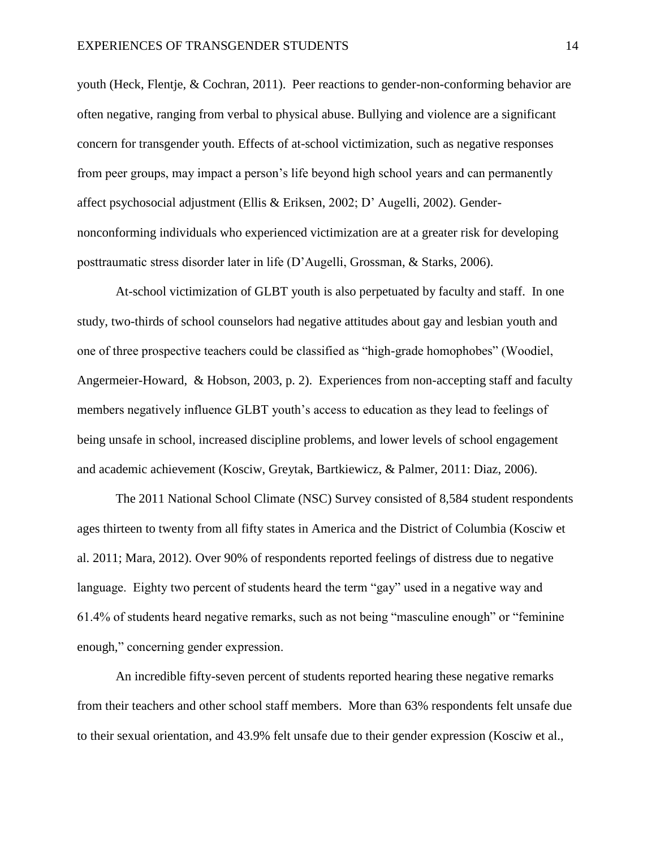youth (Heck, Flentje, & Cochran, 2011). Peer reactions to gender-non-conforming behavior are often negative, ranging from verbal to physical abuse. Bullying and violence are a significant concern for transgender youth. Effects of at-school victimization, such as negative responses from peer groups, may impact a person's life beyond high school years and can permanently affect psychosocial adjustment (Ellis & Eriksen, 2002; D' Augelli, 2002). Gendernonconforming individuals who experienced victimization are at a greater risk for developing posttraumatic stress disorder later in life (D'Augelli, Grossman, & Starks, 2006).

At-school victimization of GLBT youth is also perpetuated by faculty and staff. In one study, two-thirds of school counselors had negative attitudes about gay and lesbian youth and one of three prospective teachers could be classified as "high-grade homophobes" (Woodiel, Angermeier-Howard, & Hobson, 2003, p. 2).Experiences from non-accepting staff and faculty members negatively influence GLBT youth's access to education as they lead to feelings of being unsafe in school, increased discipline problems, and lower levels of school engagement and academic achievement (Kosciw, Greytak, Bartkiewicz, & Palmer, 2011: Diaz, 2006).

The 2011 National School Climate (NSC) Survey consisted of 8,584 student respondents ages thirteen to twenty from all fifty states in America and the District of Columbia (Kosciw et al. 2011; Mara, 2012). Over 90% of respondents reported feelings of distress due to negative language. Eighty two percent of students heard the term "gay" used in a negative way and 61.4% of students heard negative remarks, such as not being "masculine enough" or "feminine enough," concerning gender expression.

An incredible fifty-seven percent of students reported hearing these negative remarks from their teachers and other school staff members. More than 63% respondents felt unsafe due to their sexual orientation, and 43.9% felt unsafe due to their gender expression (Kosciw et al.,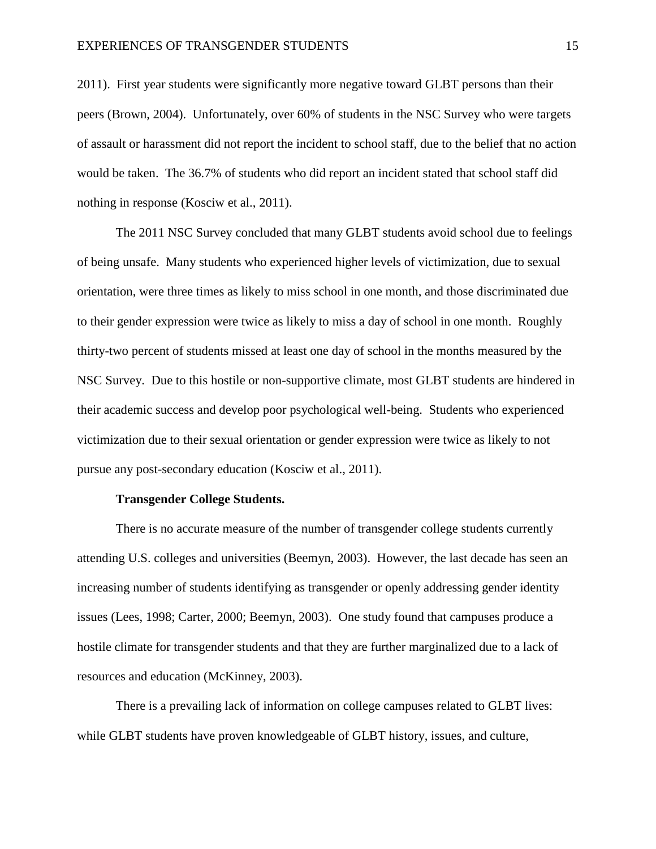2011). First year students were significantly more negative toward GLBT persons than their peers (Brown, 2004). Unfortunately, over 60% of students in the NSC Survey who were targets of assault or harassment did not report the incident to school staff, due to the belief that no action would be taken. The 36.7% of students who did report an incident stated that school staff did nothing in response (Kosciw et al., 2011).

The 2011 NSC Survey concluded that many GLBT students avoid school due to feelings of being unsafe. Many students who experienced higher levels of victimization, due to sexual orientation, were three times as likely to miss school in one month, and those discriminated due to their gender expression were twice as likely to miss a day of school in one month. Roughly thirty-two percent of students missed at least one day of school in the months measured by the NSC Survey. Due to this hostile or non-supportive climate, most GLBT students are hindered in their academic success and develop poor psychological well-being. Students who experienced victimization due to their sexual orientation or gender expression were twice as likely to not pursue any post-secondary education (Kosciw et al., 2011).

## **Transgender College Students.**

There is no accurate measure of the number of transgender college students currently attending U.S. colleges and universities (Beemyn, 2003). However, the last decade has seen an increasing number of students identifying as transgender or openly addressing gender identity issues (Lees, 1998; Carter, 2000; Beemyn, 2003). One study found that campuses produce a hostile climate for transgender students and that they are further marginalized due to a lack of resources and education (McKinney, 2003).

There is a prevailing lack of information on college campuses related to GLBT lives: while GLBT students have proven knowledgeable of GLBT history, issues, and culture,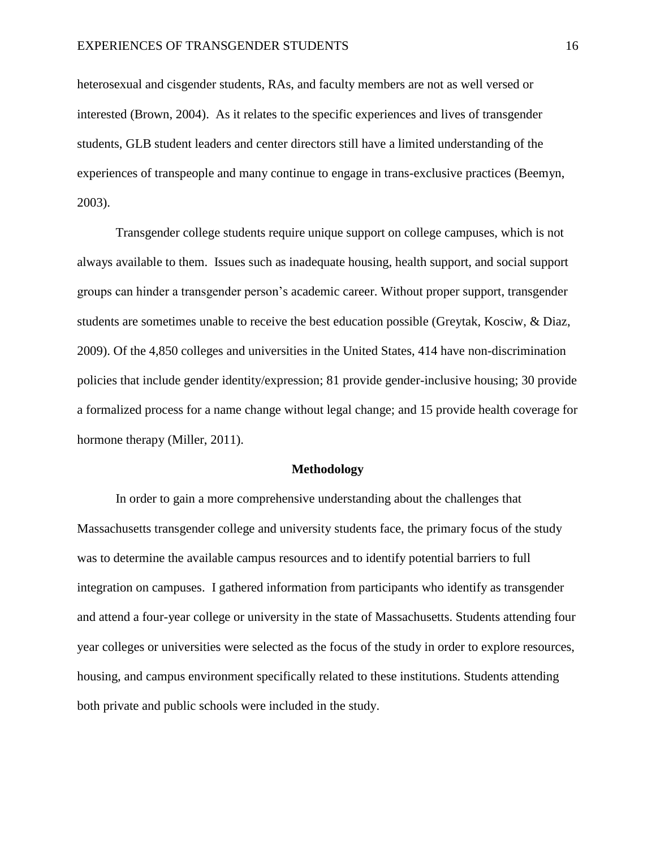heterosexual and cisgender students, RAs, and faculty members are not as well versed or interested (Brown, 2004). As it relates to the specific experiences and lives of transgender students, GLB student leaders and center directors still have a limited understanding of the experiences of transpeople and many continue to engage in trans-exclusive practices (Beemyn, 2003).

Transgender college students require unique support on college campuses, which is not always available to them. Issues such as inadequate housing, health support, and social support groups can hinder a transgender person's academic career. Without proper support, transgender students are sometimes unable to receive the best education possible (Greytak, Kosciw, & Diaz, 2009). Of the 4,850 colleges and universities in the United States, 414 have non-discrimination policies that include gender identity/expression; 81 provide gender-inclusive housing; 30 provide a formalized process for a name change without legal change; and 15 provide health coverage for hormone therapy (Miller, 2011).

# **Methodology**

In order to gain a more comprehensive understanding about the challenges that Massachusetts transgender college and university students face, the primary focus of the study was to determine the available campus resources and to identify potential barriers to full integration on campuses. I gathered information from participants who identify as transgender and attend a four-year college or university in the state of Massachusetts. Students attending four year colleges or universities were selected as the focus of the study in order to explore resources, housing, and campus environment specifically related to these institutions. Students attending both private and public schools were included in the study.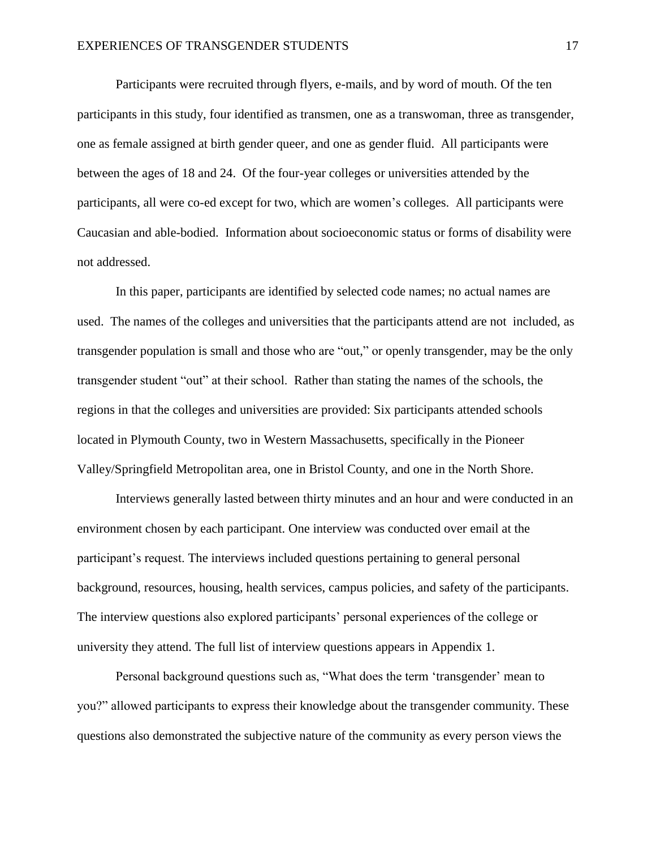Participants were recruited through flyers, e-mails, and by word of mouth. Of the ten participants in this study, four identified as transmen, one as a transwoman, three as transgender, one as female assigned at birth gender queer, and one as gender fluid. All participants were between the ages of 18 and 24. Of the four-year colleges or universities attended by the participants, all were co-ed except for two, which are women's colleges. All participants were Caucasian and able-bodied. Information about socioeconomic status or forms of disability were not addressed.

In this paper, participants are identified by selected code names; no actual names are used. The names of the colleges and universities that the participants attend are not included, as transgender population is small and those who are "out," or openly transgender, may be the only transgender student "out" at their school. Rather than stating the names of the schools, the regions in that the colleges and universities are provided: Six participants attended schools located in Plymouth County, two in Western Massachusetts, specifically in the Pioneer Valley/Springfield Metropolitan area, one in Bristol County, and one in the North Shore.

Interviews generally lasted between thirty minutes and an hour and were conducted in an environment chosen by each participant. One interview was conducted over email at the participant's request. The interviews included questions pertaining to general personal background, resources, housing, health services, campus policies, and safety of the participants. The interview questions also explored participants' personal experiences of the college or university they attend. The full list of interview questions appears in Appendix 1.

Personal background questions such as, "What does the term 'transgender' mean to you?" allowed participants to express their knowledge about the transgender community. These questions also demonstrated the subjective nature of the community as every person views the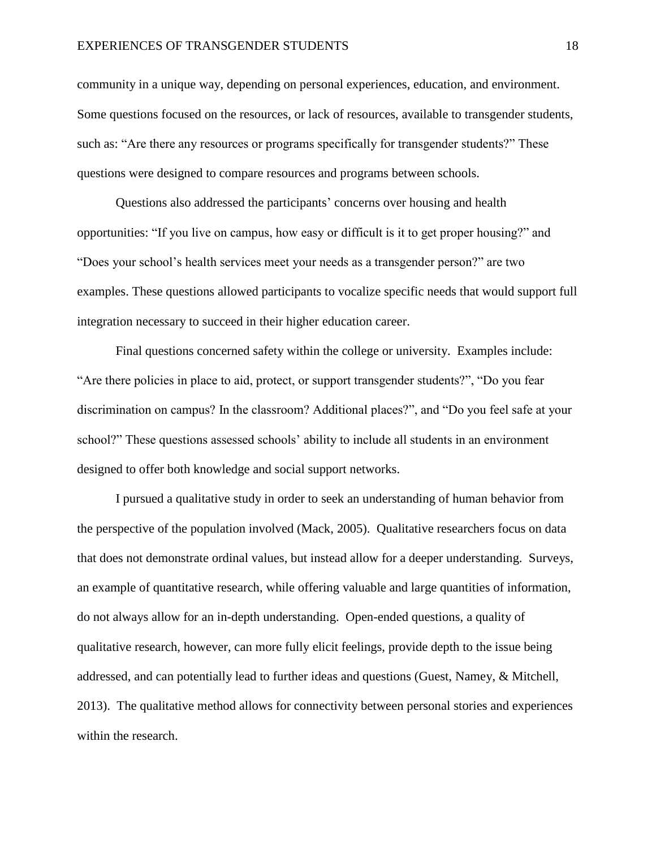community in a unique way, depending on personal experiences, education, and environment. Some questions focused on the resources, or lack of resources, available to transgender students, such as: "Are there any resources or programs specifically for transgender students?" These questions were designed to compare resources and programs between schools.

Questions also addressed the participants' concerns over housing and health opportunities: "If you live on campus, how easy or difficult is it to get proper housing?" and "Does your school's health services meet your needs as a transgender person?" are two examples. These questions allowed participants to vocalize specific needs that would support full integration necessary to succeed in their higher education career.

Final questions concerned safety within the college or university. Examples include: "Are there policies in place to aid, protect, or support transgender students?", "Do you fear discrimination on campus? In the classroom? Additional places?", and "Do you feel safe at your school?" These questions assessed schools' ability to include all students in an environment designed to offer both knowledge and social support networks.

I pursued a qualitative study in order to seek an understanding of human behavior from the perspective of the population involved (Mack, 2005). Qualitative researchers focus on data that does not demonstrate ordinal values, but instead allow for a deeper understanding. Surveys, an example of quantitative research, while offering valuable and large quantities of information, do not always allow for an in-depth understanding. Open-ended questions, a quality of qualitative research, however, can more fully elicit feelings, provide depth to the issue being addressed, and can potentially lead to further ideas and questions (Guest, Namey, & Mitchell, 2013). The qualitative method allows for connectivity between personal stories and experiences within the research.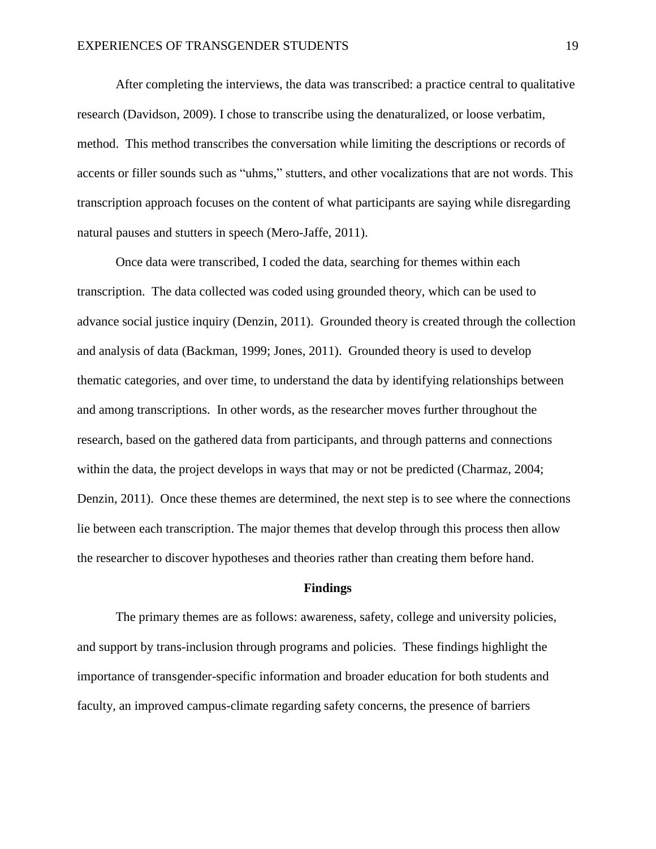After completing the interviews, the data was transcribed: a practice central to qualitative research (Davidson, 2009). I chose to transcribe using the denaturalized, or loose verbatim, method. This method transcribes the conversation while limiting the descriptions or records of accents or filler sounds such as "uhms," stutters, and other vocalizations that are not words. This transcription approach focuses on the content of what participants are saying while disregarding natural pauses and stutters in speech (Mero-Jaffe, 2011).

Once data were transcribed, I coded the data, searching for themes within each transcription. The data collected was coded using grounded theory, which can be used to advance social justice inquiry (Denzin, 2011). Grounded theory is created through the collection and analysis of data (Backman, 1999; Jones, 2011). Grounded theory is used to develop thematic categories, and over time, to understand the data by identifying relationships between and among transcriptions. In other words, as the researcher moves further throughout the research, based on the gathered data from participants, and through patterns and connections within the data, the project develops in ways that may or not be predicted (Charmaz, 2004; Denzin, 2011). Once these themes are determined, the next step is to see where the connections lie between each transcription. The major themes that develop through this process then allow the researcher to discover hypotheses and theories rather than creating them before hand.

#### **Findings**

The primary themes are as follows: awareness, safety, college and university policies, and support by trans-inclusion through programs and policies.These findings highlight the importance of transgender-specific information and broader education for both students and faculty, an improved campus-climate regarding safety concerns, the presence of barriers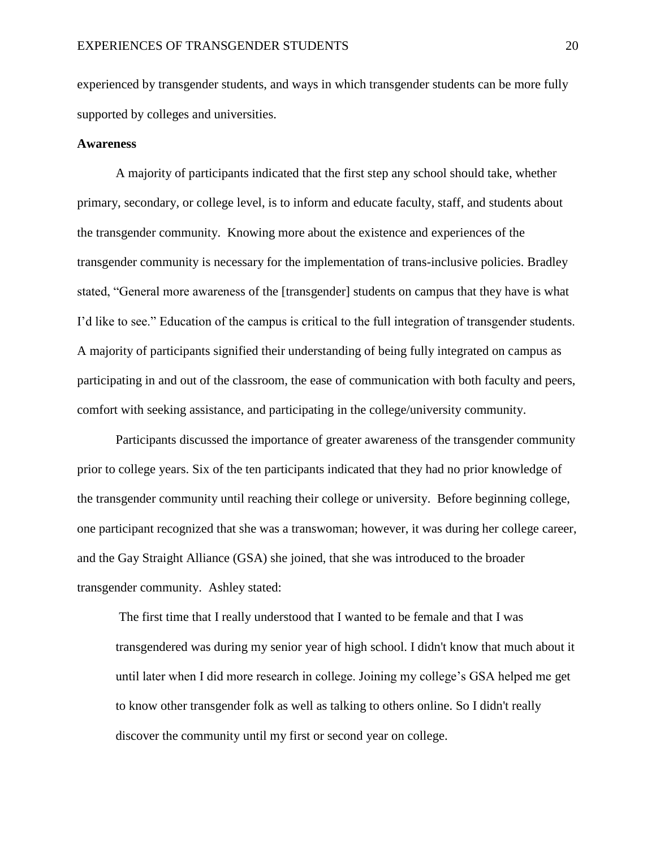experienced by transgender students, and ways in which transgender students can be more fully supported by colleges and universities.

# **Awareness**

A majority of participants indicated that the first step any school should take, whether primary, secondary, or college level, is to inform and educate faculty, staff, and students about the transgender community. Knowing more about the existence and experiences of the transgender community is necessary for the implementation of trans-inclusive policies. Bradley stated, "General more awareness of the [transgender] students on campus that they have is what I'd like to see." Education of the campus is critical to the full integration of transgender students. A majority of participants signified their understanding of being fully integrated on campus as participating in and out of the classroom, the ease of communication with both faculty and peers, comfort with seeking assistance, and participating in the college/university community.

Participants discussed the importance of greater awareness of the transgender community prior to college years. Six of the ten participants indicated that they had no prior knowledge of the transgender community until reaching their college or university. Before beginning college, one participant recognized that she was a transwoman; however, it was during her college career, and the Gay Straight Alliance (GSA) she joined, that she was introduced to the broader transgender community. Ashley stated:

The first time that I really understood that I wanted to be female and that I was transgendered was during my senior year of high school. I didn't know that much about it until later when I did more research in college. Joining my college's GSA helped me get to know other transgender folk as well as talking to others online. So I didn't really discover the community until my first or second year on college.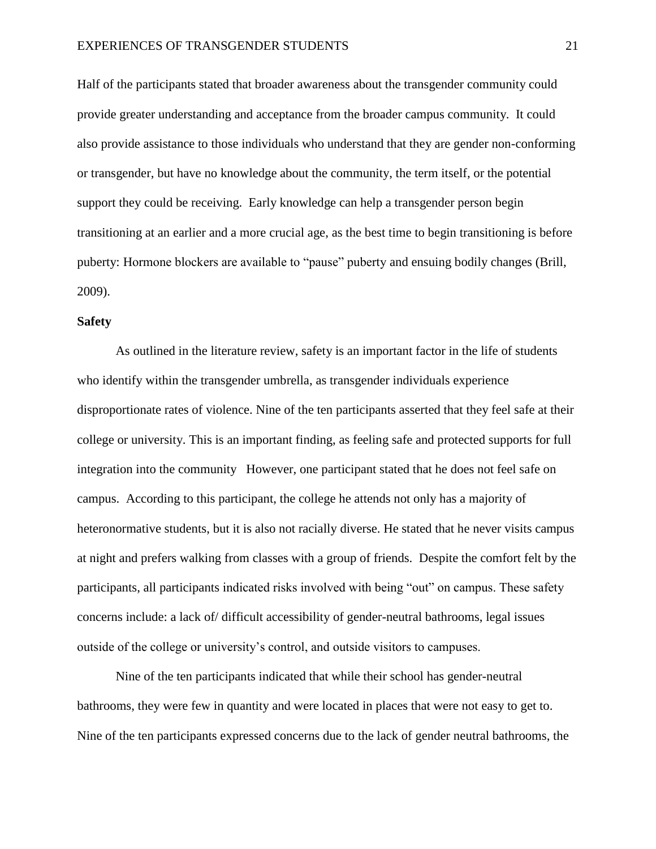Half of the participants stated that broader awareness about the transgender community could provide greater understanding and acceptance from the broader campus community. It could also provide assistance to those individuals who understand that they are gender non-conforming or transgender, but have no knowledge about the community, the term itself, or the potential support they could be receiving. Early knowledge can help a transgender person begin transitioning at an earlier and a more crucial age, as the best time to begin transitioning is before puberty: Hormone blockers are available to "pause" puberty and ensuing bodily changes (Brill, 2009).

# **Safety**

As outlined in the literature review, safety is an important factor in the life of students who identify within the transgender umbrella, as transgender individuals experience disproportionate rates of violence. Nine of the ten participants asserted that they feel safe at their college or university. This is an important finding, as feeling safe and protected supports for full integration into the community However, one participant stated that he does not feel safe on campus. According to this participant, the college he attends not only has a majority of heteronormative students, but it is also not racially diverse. He stated that he never visits campus at night and prefers walking from classes with a group of friends. Despite the comfort felt by the participants, all participants indicated risks involved with being "out" on campus. These safety concerns include: a lack of/ difficult accessibility of gender-neutral bathrooms, legal issues outside of the college or university's control, and outside visitors to campuses.

Nine of the ten participants indicated that while their school has gender-neutral bathrooms, they were few in quantity and were located in places that were not easy to get to. Nine of the ten participants expressed concerns due to the lack of gender neutral bathrooms, the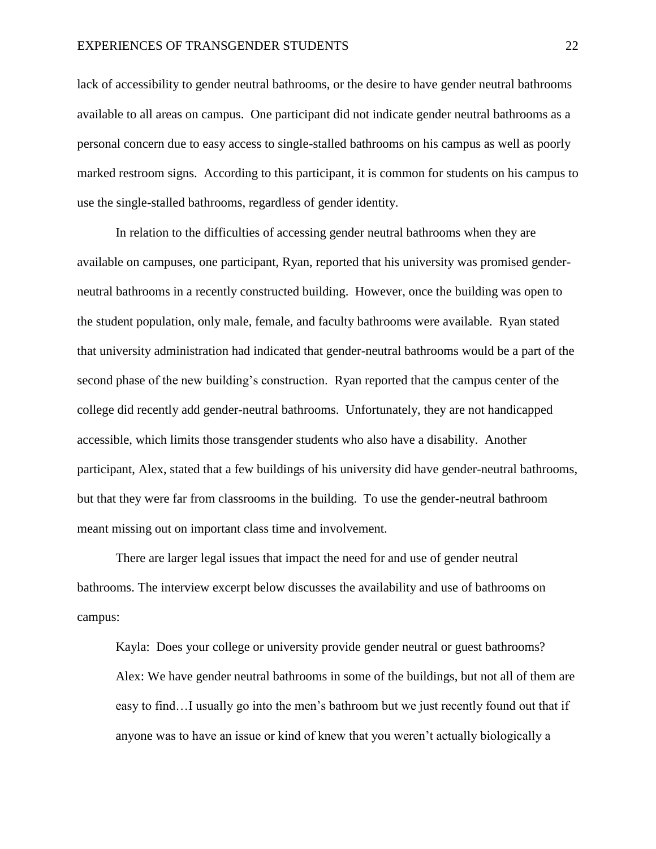lack of accessibility to gender neutral bathrooms, or the desire to have gender neutral bathrooms available to all areas on campus. One participant did not indicate gender neutral bathrooms as a personal concern due to easy access to single-stalled bathrooms on his campus as well as poorly marked restroom signs. According to this participant, it is common for students on his campus to use the single-stalled bathrooms, regardless of gender identity.

In relation to the difficulties of accessing gender neutral bathrooms when they are available on campuses, one participant, Ryan, reported that his university was promised genderneutral bathrooms in a recently constructed building. However, once the building was open to the student population, only male, female, and faculty bathrooms were available. Ryan stated that university administration had indicated that gender-neutral bathrooms would be a part of the second phase of the new building's construction. Ryan reported that the campus center of the college did recently add gender-neutral bathrooms. Unfortunately, they are not handicapped accessible, which limits those transgender students who also have a disability. Another participant, Alex, stated that a few buildings of his university did have gender-neutral bathrooms, but that they were far from classrooms in the building. To use the gender-neutral bathroom meant missing out on important class time and involvement.

There are larger legal issues that impact the need for and use of gender neutral bathrooms. The interview excerpt below discusses the availability and use of bathrooms on campus:

Kayla: Does your college or university provide gender neutral or guest bathrooms? Alex: We have gender neutral bathrooms in some of the buildings, but not all of them are easy to find…I usually go into the men's bathroom but we just recently found out that if anyone was to have an issue or kind of knew that you weren't actually biologically a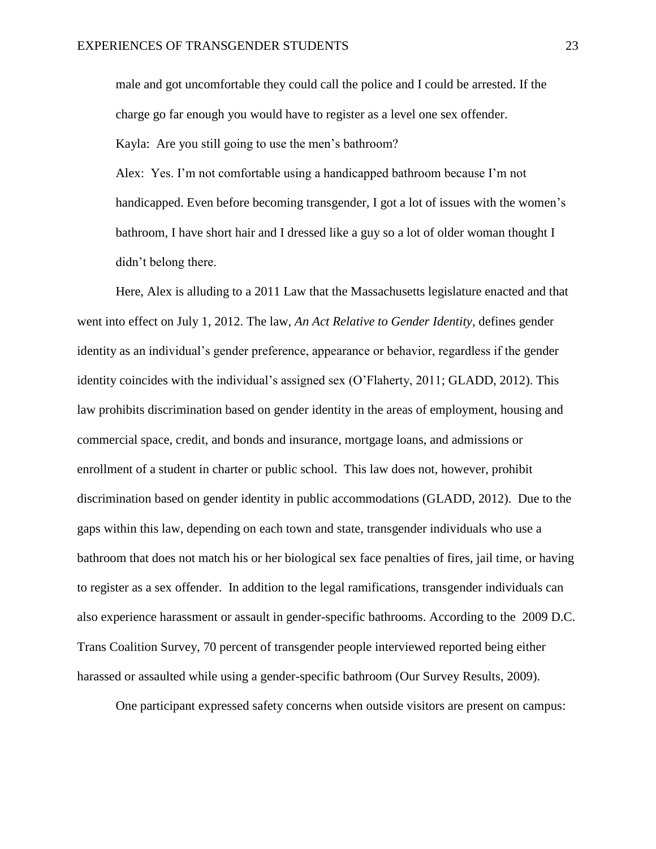male and got uncomfortable they could call the police and I could be arrested. If the charge go far enough you would have to register as a level one sex offender. Kayla: Are you still going to use the men's bathroom?

Alex: Yes. I'm not comfortable using a handicapped bathroom because I'm not handicapped. Even before becoming transgender, I got a lot of issues with the women's bathroom, I have short hair and I dressed like a guy so a lot of older woman thought I didn't belong there.

Here, Alex is alluding to a 2011 Law that the Massachusetts legislature enacted and that went into effect on July 1, 2012. The law, *An Act Relative to Gender Identity*, defines gender identity as an individual's gender preference, appearance or behavior, regardless if the gender identity coincides with the individual's assigned sex (O'Flaherty, 2011; GLADD, 2012). This law prohibits discrimination based on gender identity in the areas of employment, housing and commercial space, credit, and bonds and insurance, mortgage loans, and admissions or enrollment of a student in charter or public school. This law does not, however, prohibit discrimination based on gender identity in public accommodations (GLADD, 2012). Due to the gaps within this law, depending on each town and state, transgender individuals who use a bathroom that does not match his or her biological sex face penalties of fires, jail time, or having to register as a sex offender. In addition to the legal ramifications, transgender individuals can also experience harassment or assault in gender-specific bathrooms. According to the 2009 D.C. Trans Coalition Survey, 70 percent of transgender people interviewed reported being either harassed or assaulted while using a gender-specific bathroom (Our Survey Results, 2009).

One participant expressed safety concerns when outside visitors are present on campus: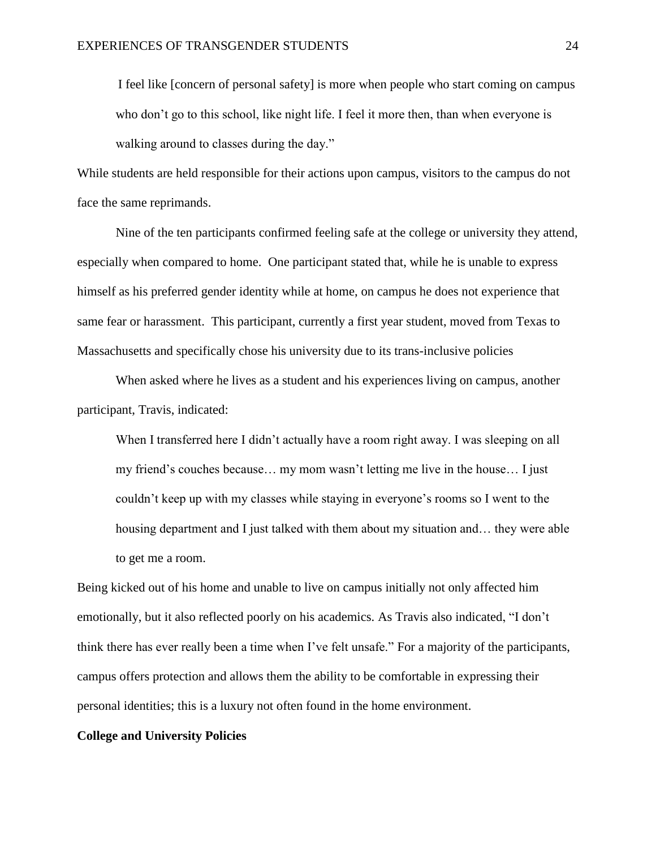I feel like [concern of personal safety] is more when people who start coming on campus who don't go to this school, like night life. I feel it more then, than when everyone is walking around to classes during the day."

While students are held responsible for their actions upon campus, visitors to the campus do not face the same reprimands.

Nine of the ten participants confirmed feeling safe at the college or university they attend, especially when compared to home. One participant stated that, while he is unable to express himself as his preferred gender identity while at home, on campus he does not experience that same fear or harassment. This participant, currently a first year student, moved from Texas to Massachusetts and specifically chose his university due to its trans-inclusive policies

When asked where he lives as a student and his experiences living on campus, another participant, Travis, indicated:

When I transferred here I didn't actually have a room right away. I was sleeping on all my friend's couches because… my mom wasn't letting me live in the house… I just couldn't keep up with my classes while staying in everyone's rooms so I went to the housing department and I just talked with them about my situation and… they were able to get me a room.

Being kicked out of his home and unable to live on campus initially not only affected him emotionally, but it also reflected poorly on his academics. As Travis also indicated, "I don't think there has ever really been a time when I've felt unsafe." For a majority of the participants, campus offers protection and allows them the ability to be comfortable in expressing their personal identities; this is a luxury not often found in the home environment.

#### **College and University Policies**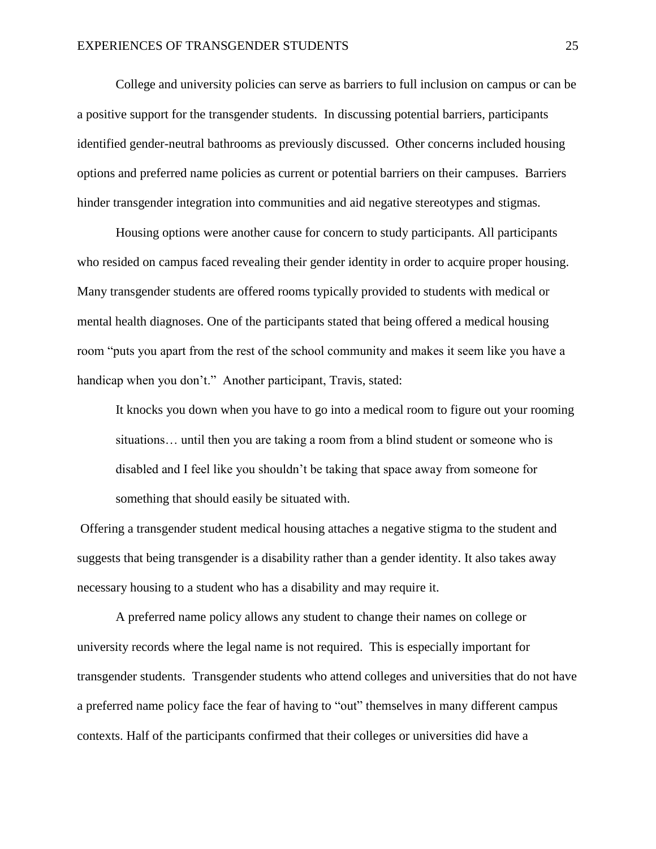College and university policies can serve as barriers to full inclusion on campus or can be a positive support for the transgender students. In discussing potential barriers, participants identified gender-neutral bathrooms as previously discussed. Other concerns included housing options and preferred name policies as current or potential barriers on their campuses. Barriers hinder transgender integration into communities and aid negative stereotypes and stigmas.

Housing options were another cause for concern to study participants. All participants who resided on campus faced revealing their gender identity in order to acquire proper housing. Many transgender students are offered rooms typically provided to students with medical or mental health diagnoses. One of the participants stated that being offered a medical housing room "puts you apart from the rest of the school community and makes it seem like you have a handicap when you don't." Another participant, Travis, stated:

It knocks you down when you have to go into a medical room to figure out your rooming situations… until then you are taking a room from a blind student or someone who is disabled and I feel like you shouldn't be taking that space away from someone for something that should easily be situated with.

Offering a transgender student medical housing attaches a negative stigma to the student and suggests that being transgender is a disability rather than a gender identity. It also takes away necessary housing to a student who has a disability and may require it.

A preferred name policy allows any student to change their names on college or university records where the legal name is not required. This is especially important for transgender students. Transgender students who attend colleges and universities that do not have a preferred name policy face the fear of having to "out" themselves in many different campus contexts. Half of the participants confirmed that their colleges or universities did have a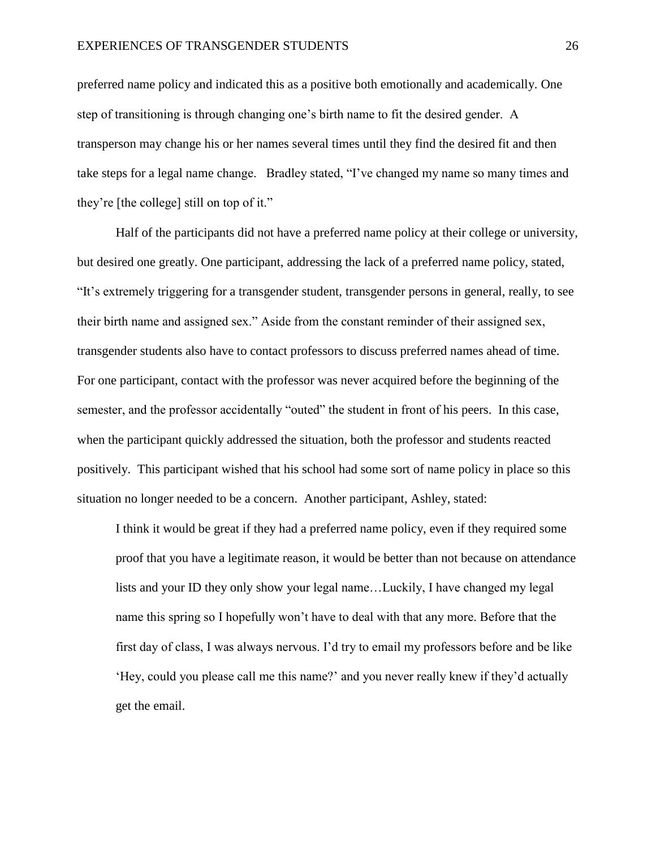preferred name policy and indicated this as a positive both emotionally and academically. One step of transitioning is through changing one's birth name to fit the desired gender. A transperson may change his or her names several times until they find the desired fit and then take steps for a legal name change. Bradley stated, "I've changed my name so many times and they're [the college] still on top of it."

Half of the participants did not have a preferred name policy at their college or university, but desired one greatly. One participant, addressing the lack of a preferred name policy, stated, "It's extremely triggering for a transgender student, transgender persons in general, really, to see their birth name and assigned sex." Aside from the constant reminder of their assigned sex, transgender students also have to contact professors to discuss preferred names ahead of time. For one participant, contact with the professor was never acquired before the beginning of the semester, and the professor accidentally "outed" the student in front of his peers. In this case, when the participant quickly addressed the situation, both the professor and students reacted positively. This participant wished that his school had some sort of name policy in place so this situation no longer needed to be a concern. Another participant, Ashley, stated:

I think it would be great if they had a preferred name policy, even if they required some proof that you have a legitimate reason, it would be better than not because on attendance lists and your ID they only show your legal name…Luckily, I have changed my legal name this spring so I hopefully won't have to deal with that any more. Before that the first day of class, I was always nervous. I'd try to email my professors before and be like 'Hey, could you please call me this name?' and you never really knew if they'd actually get the email.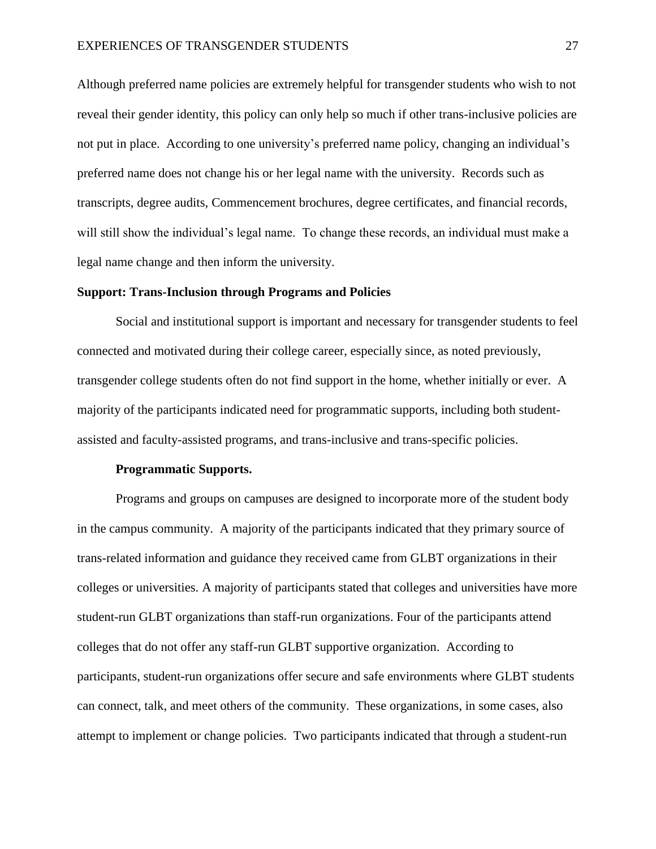Although preferred name policies are extremely helpful for transgender students who wish to not reveal their gender identity, this policy can only help so much if other trans-inclusive policies are not put in place. According to one university's preferred name policy, changing an individual's preferred name does not change his or her legal name with the university. Records such as transcripts, degree audits, Commencement brochures, degree certificates, and financial records, will still show the individual's legal name. To change these records, an individual must make a legal name change and then inform the university.

# **Support: Trans-Inclusion through Programs and Policies**

Social and institutional support is important and necessary for transgender students to feel connected and motivated during their college career, especially since, as noted previously, transgender college students often do not find support in the home, whether initially or ever. A majority of the participants indicated need for programmatic supports, including both studentassisted and faculty-assisted programs, and trans-inclusive and trans-specific policies.

# **Programmatic Supports.**

Programs and groups on campuses are designed to incorporate more of the student body in the campus community. A majority of the participants indicated that they primary source of trans-related information and guidance they received came from GLBT organizations in their colleges or universities. A majority of participants stated that colleges and universities have more student-run GLBT organizations than staff-run organizations. Four of the participants attend colleges that do not offer any staff-run GLBT supportive organization. According to participants, student-run organizations offer secure and safe environments where GLBT students can connect, talk, and meet others of the community. These organizations, in some cases, also attempt to implement or change policies. Two participants indicated that through a student-run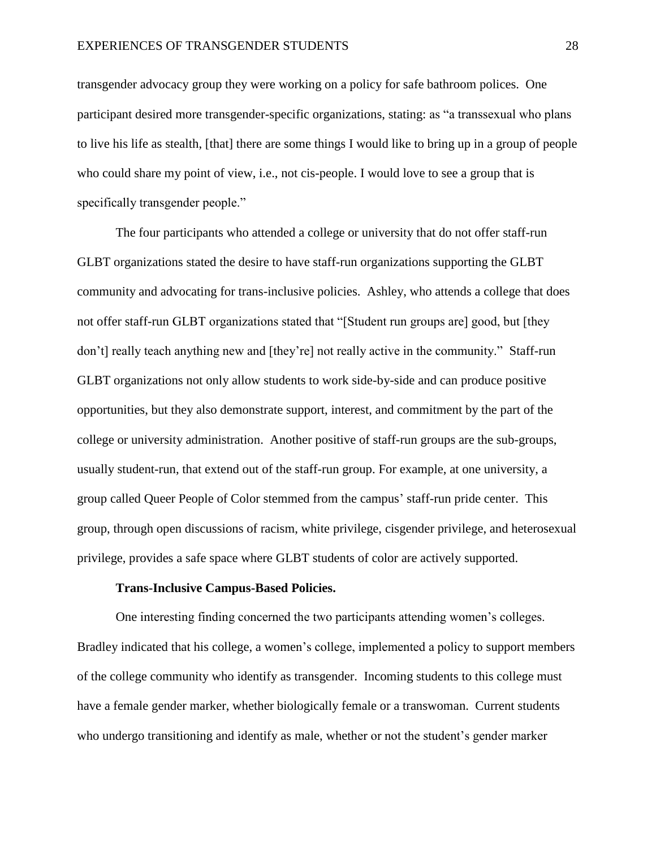transgender advocacy group they were working on a policy for safe bathroom polices. One participant desired more transgender-specific organizations, stating: as "a transsexual who plans to live his life as stealth, [that] there are some things I would like to bring up in a group of people who could share my point of view, i.e., not cis-people. I would love to see a group that is specifically transgender people."

The four participants who attended a college or university that do not offer staff-run GLBT organizations stated the desire to have staff-run organizations supporting the GLBT community and advocating for trans-inclusive policies. Ashley, who attends a college that does not offer staff-run GLBT organizations stated that "[Student run groups are] good, but [they don't] really teach anything new and [they're] not really active in the community." Staff-run GLBT organizations not only allow students to work side-by-side and can produce positive opportunities, but they also demonstrate support, interest, and commitment by the part of the college or university administration. Another positive of staff-run groups are the sub-groups, usually student-run, that extend out of the staff-run group. For example, at one university, a group called Queer People of Color stemmed from the campus' staff-run pride center. This group, through open discussions of racism, white privilege, cisgender privilege, and heterosexual privilege, provides a safe space where GLBT students of color are actively supported.

# **Trans-Inclusive Campus-Based Policies.**

One interesting finding concerned the two participants attending women's colleges. Bradley indicated that his college, a women's college, implemented a policy to support members of the college community who identify as transgender. Incoming students to this college must have a female gender marker, whether biologically female or a transwoman. Current students who undergo transitioning and identify as male, whether or not the student's gender marker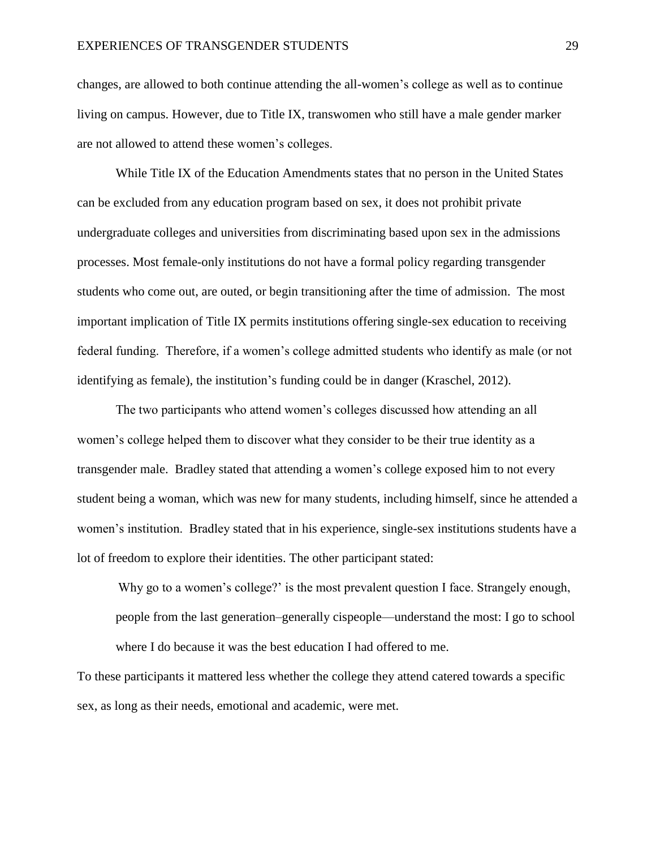changes, are allowed to both continue attending the all-women's college as well as to continue living on campus. However, due to Title IX, transwomen who still have a male gender marker are not allowed to attend these women's colleges.

While Title IX of the Education Amendments states that no person in the United States can be excluded from any education program based on sex, it does not prohibit private undergraduate colleges and universities from discriminating based upon sex in the admissions processes. Most female-only institutions do not have a formal policy regarding transgender students who come out, are outed, or begin transitioning after the time of admission. The most important implication of Title IX permits institutions offering single-sex education to receiving federal funding. Therefore, if a women's college admitted students who identify as male (or not identifying as female), the institution's funding could be in danger (Kraschel, 2012).

The two participants who attend women's colleges discussed how attending an all women's college helped them to discover what they consider to be their true identity as a transgender male. Bradley stated that attending a women's college exposed him to not every student being a woman, which was new for many students, including himself, since he attended a women's institution. Bradley stated that in his experience, single-sex institutions students have a lot of freedom to explore their identities. The other participant stated:

Why go to a women's college?' is the most prevalent question I face. Strangely enough, people from the last generation–generally cispeople—understand the most: I go to school where I do because it was the best education I had offered to me.

To these participants it mattered less whether the college they attend catered towards a specific sex, as long as their needs, emotional and academic, were met.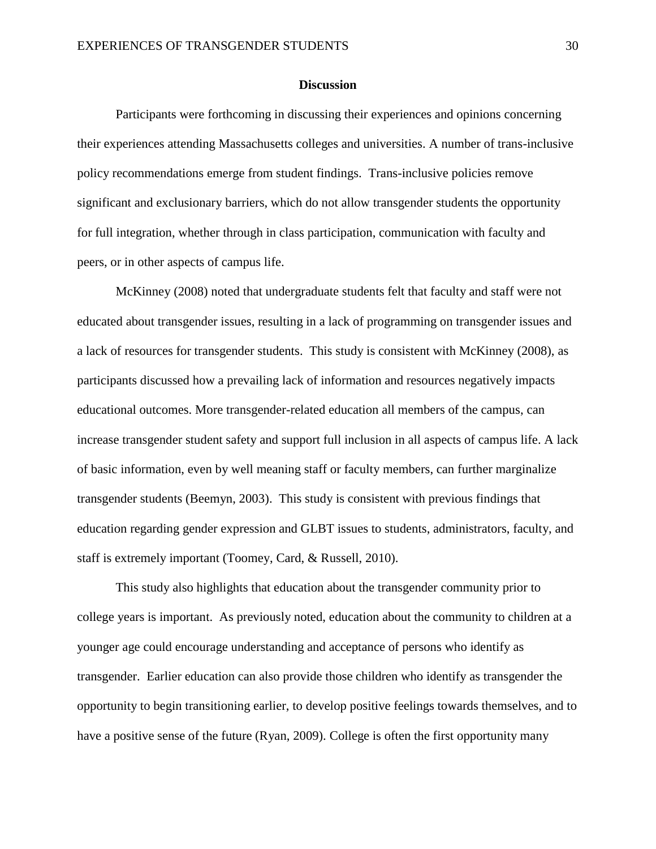## **Discussion**

Participants were forthcoming in discussing their experiences and opinions concerning their experiences attending Massachusetts colleges and universities. A number of trans-inclusive policy recommendations emerge from student findings. Trans-inclusive policies remove significant and exclusionary barriers, which do not allow transgender students the opportunity for full integration, whether through in class participation, communication with faculty and peers, or in other aspects of campus life.

McKinney (2008) noted that undergraduate students felt that faculty and staff were not educated about transgender issues, resulting in a lack of programming on transgender issues and a lack of resources for transgender students. This study is consistent with McKinney (2008), as participants discussed how a prevailing lack of information and resources negatively impacts educational outcomes. More transgender-related education all members of the campus, can increase transgender student safety and support full inclusion in all aspects of campus life. A lack of basic information, even by well meaning staff or faculty members, can further marginalize transgender students (Beemyn, 2003). This study is consistent with previous findings that education regarding gender expression and GLBT issues to students, administrators, faculty, and staff is extremely important (Toomey, Card, & Russell, 2010).

This study also highlights that education about the transgender community prior to college years is important. As previously noted, education about the community to children at a younger age could encourage understanding and acceptance of persons who identify as transgender. Earlier education can also provide those children who identify as transgender the opportunity to begin transitioning earlier, to develop positive feelings towards themselves, and to have a positive sense of the future (Ryan, 2009). College is often the first opportunity many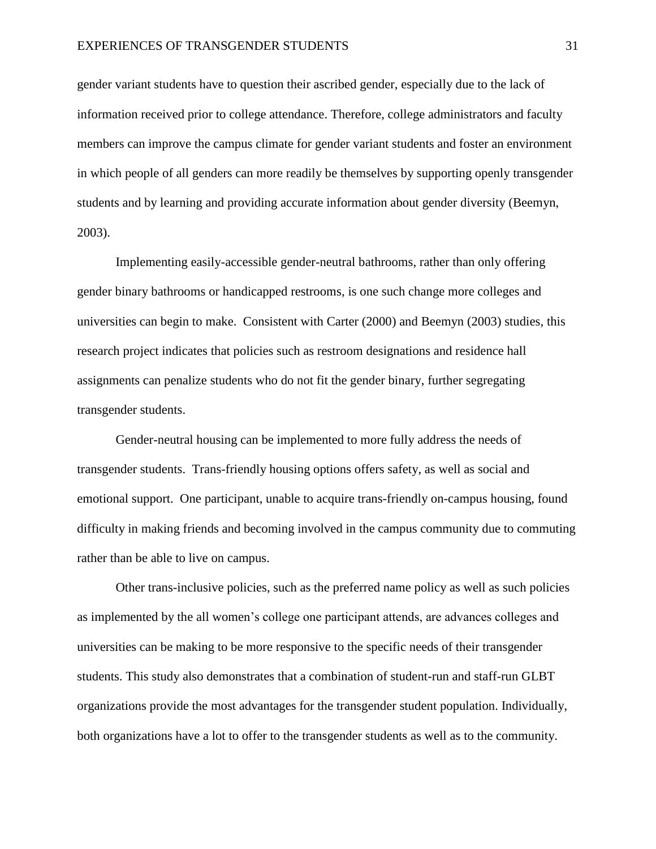gender variant students have to question their ascribed gender, especially due to the lack of information received prior to college attendance. Therefore, college administrators and faculty members can improve the campus climate for gender variant students and foster an environment in which people of all genders can more readily be themselves by supporting openly transgender students and by learning and providing accurate information about gender diversity (Beemyn, 2003).

Implementing easily-accessible gender-neutral bathrooms, rather than only offering gender binary bathrooms or handicapped restrooms, is one such change more colleges and universities can begin to make. Consistent with Carter (2000) and Beemyn (2003) studies, this research project indicates that policies such as restroom designations and residence hall assignments can penalize students who do not fit the gender binary, further segregating transgender students.

Gender-neutral housing can be implemented to more fully address the needs of transgender students. Trans-friendly housing options offers safety, as well as social and emotional support. One participant, unable to acquire trans-friendly on-campus housing, found difficulty in making friends and becoming involved in the campus community due to commuting rather than be able to live on campus.

Other trans-inclusive policies, such as the preferred name policy as well as such policies as implemented by the all women's college one participant attends, are advances colleges and universities can be making to be more responsive to the specific needs of their transgender students. This study also demonstrates that a combination of student-run and staff-run GLBT organizations provide the most advantages for the transgender student population. Individually, both organizations have a lot to offer to the transgender students as well as to the community.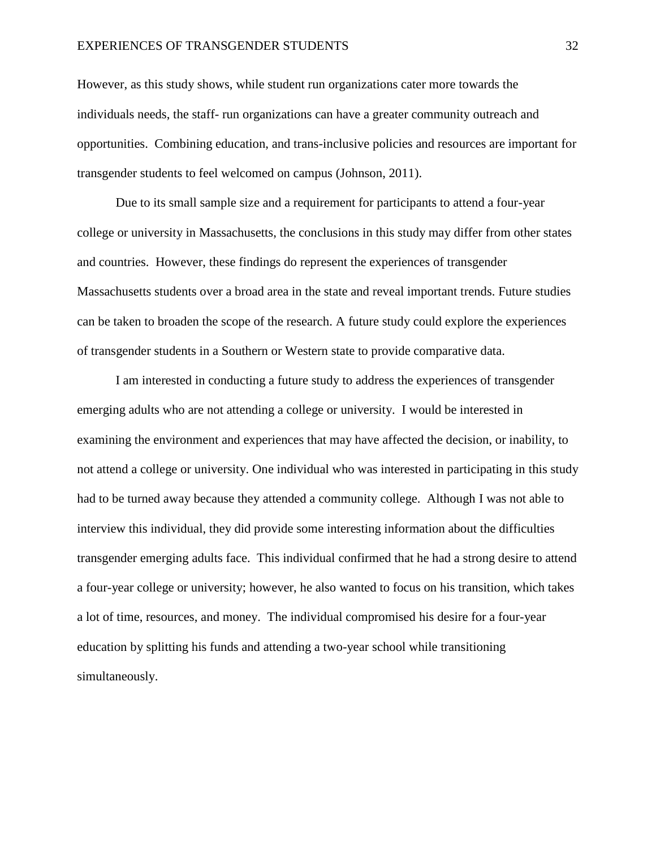# EXPERIENCES OF TRANSGENDER STUDENTS 32

However, as this study shows, while student run organizations cater more towards the individuals needs, the staff- run organizations can have a greater community outreach and opportunities. Combining education, and trans-inclusive policies and resources are important for transgender students to feel welcomed on campus (Johnson, 2011).

Due to its small sample size and a requirement for participants to attend a four-year college or university in Massachusetts, the conclusions in this study may differ from other states and countries. However, these findings do represent the experiences of transgender Massachusetts students over a broad area in the state and reveal important trends. Future studies can be taken to broaden the scope of the research. A future study could explore the experiences of transgender students in a Southern or Western state to provide comparative data.

I am interested in conducting a future study to address the experiences of transgender emerging adults who are not attending a college or university. I would be interested in examining the environment and experiences that may have affected the decision, or inability, to not attend a college or university. One individual who was interested in participating in this study had to be turned away because they attended a community college. Although I was not able to interview this individual, they did provide some interesting information about the difficulties transgender emerging adults face. This individual confirmed that he had a strong desire to attend a four-year college or university; however, he also wanted to focus on his transition, which takes a lot of time, resources, and money. The individual compromised his desire for a four-year education by splitting his funds and attending a two-year school while transitioning simultaneously.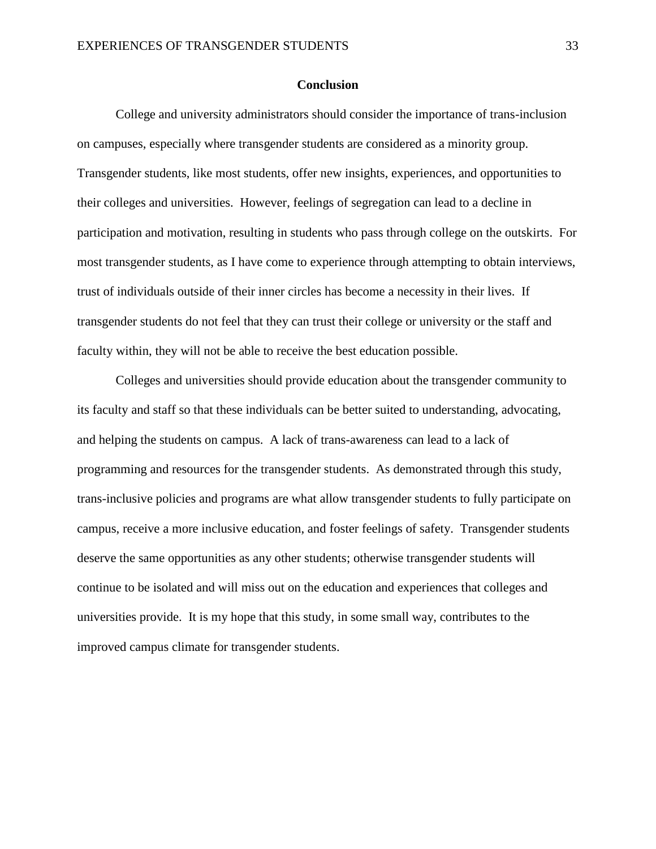# **Conclusion**

College and university administrators should consider the importance of trans-inclusion on campuses, especially where transgender students are considered as a minority group. Transgender students, like most students, offer new insights, experiences, and opportunities to their colleges and universities. However, feelings of segregation can lead to a decline in participation and motivation, resulting in students who pass through college on the outskirts. For most transgender students, as I have come to experience through attempting to obtain interviews, trust of individuals outside of their inner circles has become a necessity in their lives. If transgender students do not feel that they can trust their college or university or the staff and faculty within, they will not be able to receive the best education possible.

Colleges and universities should provide education about the transgender community to its faculty and staff so that these individuals can be better suited to understanding, advocating, and helping the students on campus. A lack of trans-awareness can lead to a lack of programming and resources for the transgender students. As demonstrated through this study, trans-inclusive policies and programs are what allow transgender students to fully participate on campus, receive a more inclusive education, and foster feelings of safety. Transgender students deserve the same opportunities as any other students; otherwise transgender students will continue to be isolated and will miss out on the education and experiences that colleges and universities provide. It is my hope that this study, in some small way, contributes to the improved campus climate for transgender students.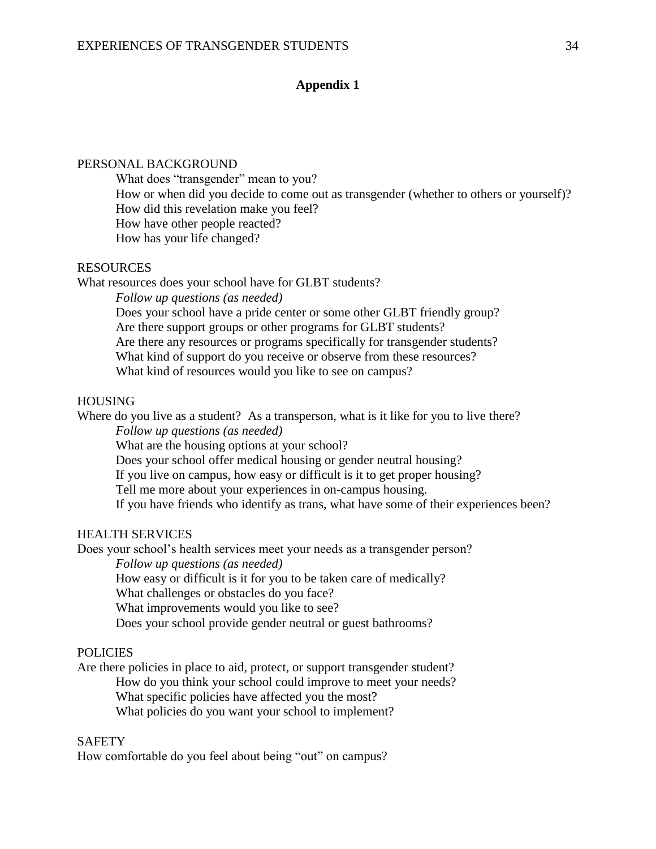# **Appendix 1**

# PERSONAL BACKGROUND

What does "transgender" mean to you? How or when did you decide to come out as transgender (whether to others or yourself)? How did this revelation make you feel? How have other people reacted? How has your life changed?

# **RESOURCES**

What resources does your school have for GLBT students?

*Follow up questions (as needed)* Does your school have a pride center or some other GLBT friendly group? Are there support groups or other programs for GLBT students? Are there any resources or programs specifically for transgender students? What kind of support do you receive or observe from these resources? What kind of resources would you like to see on campus?

# HOUSING

Where do you live as a student? As a transperson, what is it like for you to live there? *Follow up questions (as needed)* What are the housing options at your school? Does your school offer medical housing or gender neutral housing?

If you live on campus, how easy or difficult is it to get proper housing?

Tell me more about your experiences in on-campus housing.

If you have friends who identify as trans, what have some of their experiences been?

# HEALTH SERVICES

Does your school's health services meet your needs as a transgender person?

*Follow up questions (as needed)*

How easy or difficult is it for you to be taken care of medically?

What challenges or obstacles do you face?

What improvements would you like to see?

Does your school provide gender neutral or guest bathrooms?

# POLICIES

Are there policies in place to aid, protect, or support transgender student? How do you think your school could improve to meet your needs?

What specific policies have affected you the most?

What policies do you want your school to implement?

# **SAFETY**

How comfortable do you feel about being "out" on campus?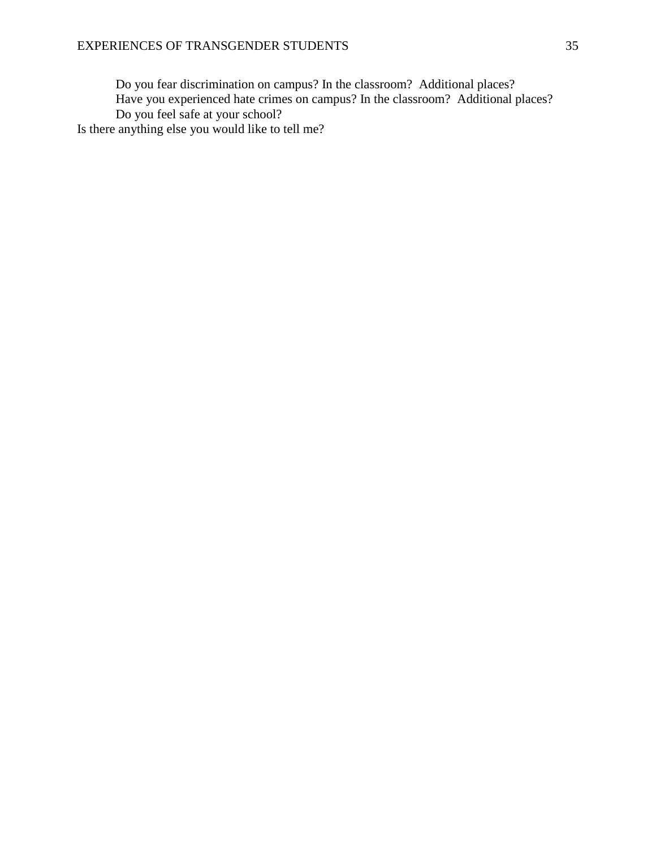Do you fear discrimination on campus? In the classroom? Additional places? Have you experienced hate crimes on campus? In the classroom? Additional places? Do you feel safe at your school? Is there anything else you would like to tell me?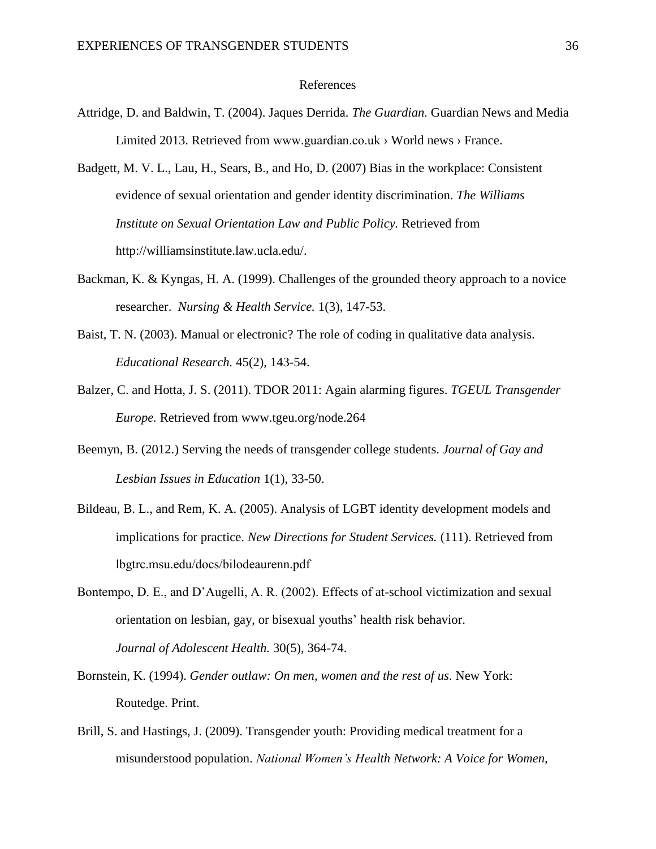# References

- Attridge, D. and Baldwin, T. (2004). Jaques Derrida. *The Guardian.* Guardian News and Media Limited 2013. Retrieved from www.guardian.co.uk › [World news](http://www.guardian.co.uk/world) › [France.](http://www.guardian.co.uk/world/france)
- Badgett, M. V. L., Lau, H., Sears, B., and Ho, D. (2007) Bias in the workplace: Consistent evidence of sexual orientation and gender identity discrimination. *The Williams Institute on Sexual Orientation Law and Public Policy.* Retrieved from [http://williamsinstitute.law.ucla.edu/.](http://williamsinstitute.law.ucla.edu/)
- Backman, K. & Kyngas, H. A. (1999). Challenges of the grounded theory approach to a novice researcher. *Nursing & Health Service.* 1(3), 147-53.
- Baist, T. N. (2003). Manual or electronic? The role of coding in qualitative data analysis. *Educational Research.* 45(2), 143-54.
- Balzer, C. and Hotta, J. S. (2011). TDOR 2011: Again alarming figures. *TGEUL Transgender Europe.* Retrieved from www.tgeu.org/node.264
- Beemyn, B. (2012.) Serving the needs of transgender college students. *Journal of Gay and Lesbian Issues in Education* 1(1), 33-50.
- Bildeau, B. L., and Rem, K. A. (2005). Analysis of LGBT identity development models and implications for practice. *New Directions for Student Services.* (111). Retrieved from lbgtrc.msu.edu docs bilodeaurenn.pdf
- Bontempo, D. E., and D'Augelli, A. R. (2002). Effects of at-school victimization and sexual orientation on lesbian, gay, or bisexual youths' health risk behavior. *Journal of Adolescent Health.* 30(5), 364-74.
- Bornstein, K. (1994). *Gender outlaw: On men, women and the rest of us*. New York: Routedge. Print.
- Brill, S. and Hastings, J. (2009). Transgender youth: Providing medical treatment for a misunderstood population. *National Women's Health Network: A Voice for Women,*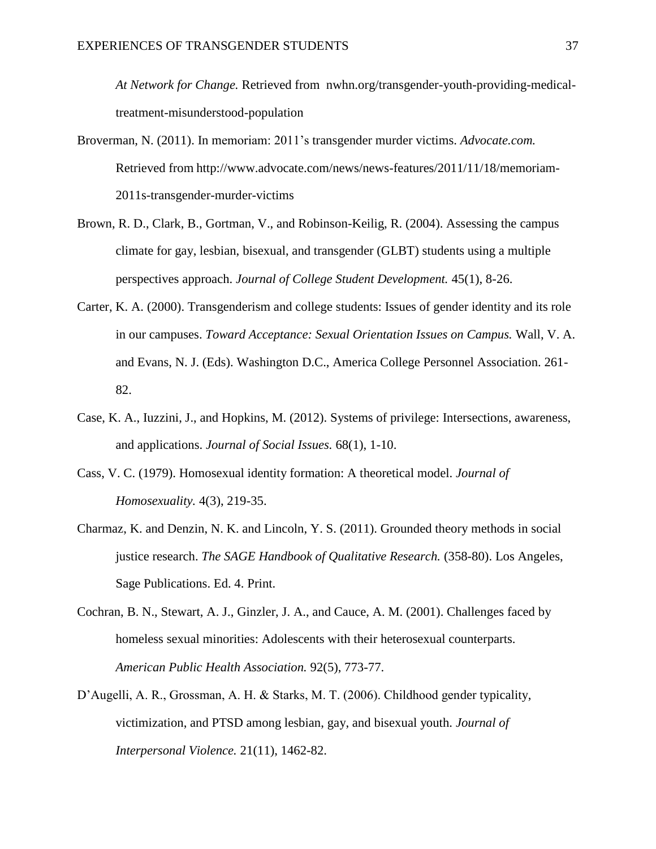*At Network for Change.* Retrieved from nwhn.org/transgender-youth-providing-medicaltreatment-misunderstood-population

- Broverman, N. (2011). In memoriam: 2011's transgender murder victims. *Advocate.com.* Retrieved from http://www.advocate.com/news/news-features/2011/11/18/memoriam-2011s-transgender-murder-victims
- Brown, R. D., Clark, B., Gortman, V., and Robinson-Keilig, R. (2004). Assessing the campus climate for gay, lesbian, bisexual, and transgender (GLBT) students using a multiple perspectives approach. *Journal of College Student Development.* 45(1), 8-26.
- Carter, K. A. (2000). Transgenderism and college students: Issues of gender identity and its role in our campuses. *Toward Acceptance: Sexual Orientation Issues on Campus.* Wall, V. A. and Evans, N. J. (Eds). Washington D.C., America College Personnel Association. 261- 82.
- Case, K. A., Iuzzini, J., and Hopkins, M. (2012). Systems of privilege: Intersections, awareness, and applications. *Journal of Social Issues.* 68(1), 1-10.
- Cass, V. C. (1979). Homosexual identity formation: A theoretical model. *Journal of Homosexuality.* 4(3), 219-35.
- Charmaz, K. and Denzin, N. K. and Lincoln, Y. S. (2011). Grounded theory methods in social justice research. *The SAGE Handbook of Qualitative Research.* (358-80). Los Angeles, Sage Publications. Ed. 4. Print.
- Cochran, B. N., Stewart, A. J., Ginzler, J. A., and Cauce, A. M. (2001). Challenges faced by homeless sexual minorities: Adolescents with their heterosexual counterparts. *American Public Health Association.* 92(5), 773-77.
- D'Augelli, A. R., Grossman, A. H. & Starks, M. T. (2006). Childhood gender typicality, victimization, and PTSD among lesbian, gay, and bisexual youth. *Journal of Interpersonal Violence.* 21(11), 1462-82.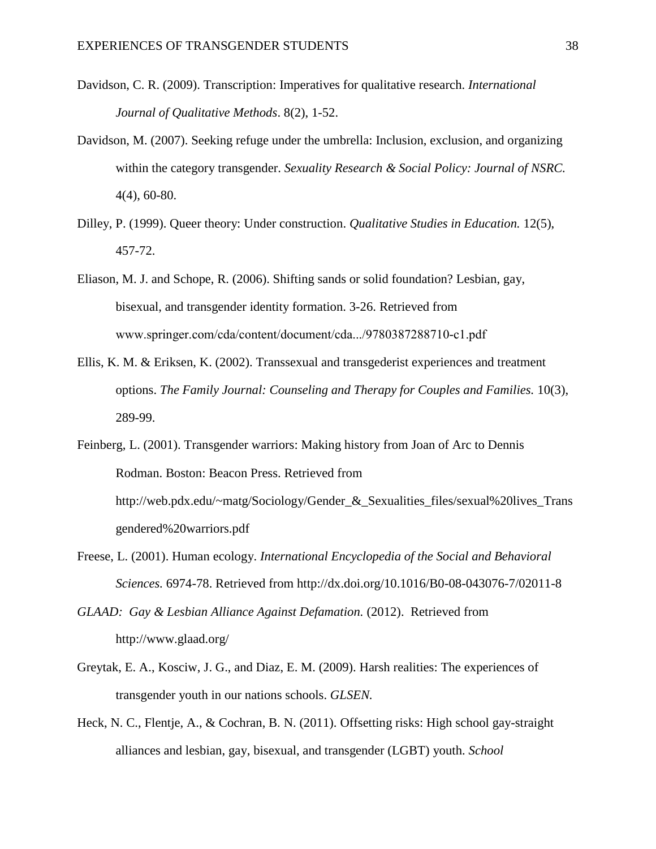- Davidson, C. R. (2009). Transcription: Imperatives for qualitative research. *International Journal of Qualitative Methods*. 8(2), 1-52.
- Davidson, M. (2007). Seeking refuge under the umbrella: Inclusion, exclusion, and organizing within the category transgender. *Sexuality Research & Social Policy: Journal of NSRC.* 4(4), 60-80.
- Dilley, P. (1999). Queer theory: Under construction. *Qualitative Studies in Education.* 12(5), 457-72.
- Eliason, M. J. and Schope, R. (2006). Shifting sands or solid foundation? Lesbian, gay, bisexual, and transgender identity formation. 3-26. Retrieved from www.springer.com/cda/content/document/cda.../9780387288710-c1.pdf
- Ellis, K. M. & Eriksen, K. (2002). Transsexual and transgederist experiences and treatment options. *The Family Journal: Counseling and Therapy for Couples and Families.* 10(3), 289-99.
- Feinberg, L. (2001). Transgender warriors: Making history from Joan of Arc to Dennis Rodman. Boston: Beacon Press. Retrieved from http://web.pdx.edu/~matg/Sociology/Gender\_&\_Sexualities\_files/sexual%20lives\_Trans gendered%20warriors.pdf
- Freese, L. (2001). Human ecology. *International Encyclopedia of the Social and Behavioral Sciences.* 6974-78. Retrieved from<http://dx.doi.org/10.1016/B0-08-043076-7/02011-8>
- *GLAAD: [Gay & Lesbian Alliance Against Defamation.](http://en.wikipedia.org/wiki/Gay_%26_Lesbian_Alliance_Against_Defamation)* (2012). Retrieved from <http://www.glaad.org/>
- Greytak, E. A., Kosciw, J. G., and Diaz, E. M. (2009). Harsh realities: The experiences of transgender youth in our nations schools. *GLSEN.*
- Heck, N. C., Flentje, A., & Cochran, B. N. (2011). Offsetting risks: High school gay-straight alliances and lesbian, gay, bisexual, and transgender (LGBT) youth. *School*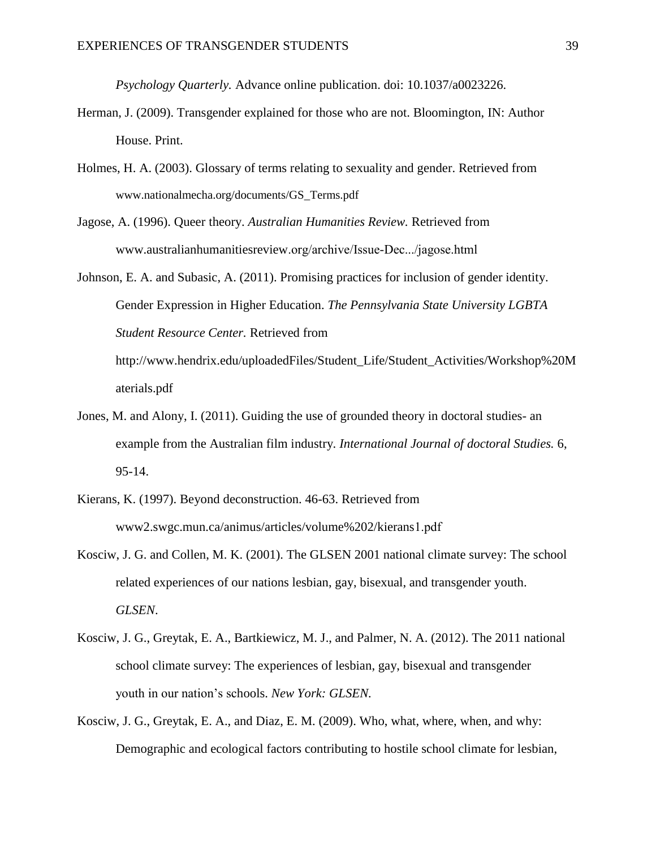*Psychology Quarterly.* Advance online publication. doi: 10.1037/a0023226.

- Herman, J. (2009). Transgender explained for those who are not. Bloomington, IN: Author House. Print.
- Holmes, H. A. (2003). Glossary of terms relating to sexuality and gender. Retrieved from www.nationalmecha.org/documents/GS\_Terms.pdf
- Jagose, A. (1996). Queer theory. *Australian Humanities Review.* Retrieved from www.australianhumanitiesreview.org/archive/Issue-Dec.../jagose.html
- Johnson, E. A. and Subasic, A. (2011). Promising practices for inclusion of gender identity. Gender Expression in Higher Education. *The Pennsylvania State University LGBTA Student Resource Center.* Retrieved from http://www.hendrix.edu/uploadedFiles/Student\_Life/Student\_Activities/Workshop%20M

aterials.pdf

- Jones, M. and Alony, I. (2011). Guiding the use of grounded theory in doctoral studies- an example from the Australian film industry. *International Journal of doctoral Studies.* 6, 95-14.
- Kierans, K. (1997). Beyond deconstruction. 46-63. Retrieved from www2.swgc.mun.ca/animus/articles/volume%202/kierans1.pdf
- Kosciw, J. G. and Collen, M. K. (2001). The GLSEN 2001 national climate survey: The school related experiences of our nations lesbian, gay, bisexual, and transgender youth. *GLSEN*.
- Kosciw, J. G., Greytak, E. A., Bartkiewicz, M. J., and Palmer, N. A. (2012). The 2011 national school climate survey: The experiences of lesbian, gay, bisexual and transgender youth in our nation's schools. *New York: GLSEN.*
- Kosciw, J. G., Greytak, E. A., and Diaz, E. M. (2009). Who, what, where, when, and why: Demographic and ecological factors contributing to hostile school climate for lesbian,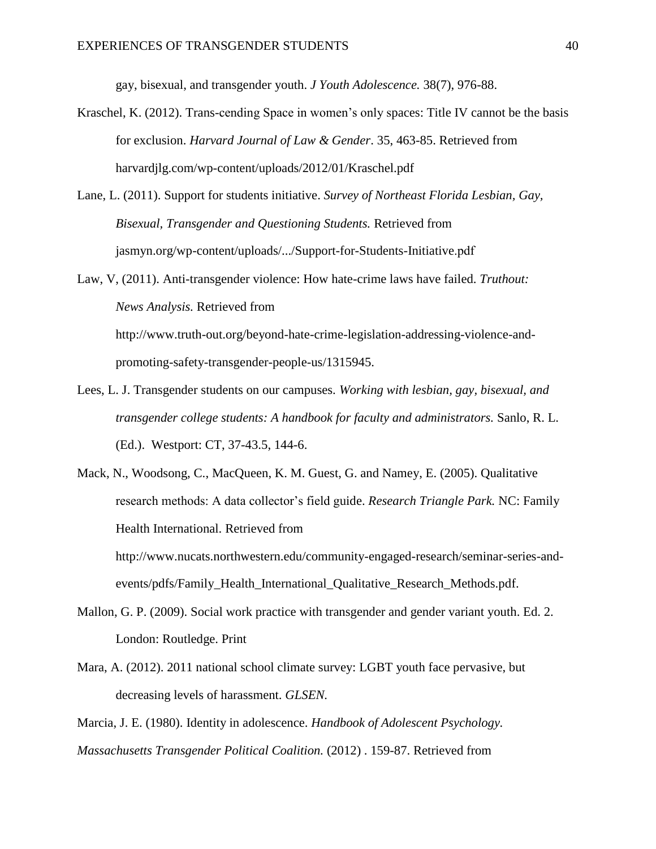gay, bisexual, and transgender youth. *J Youth Adolescence.* 38(7), 976-88.

- Kraschel, K. (2012). Trans-cending Space in women's only spaces: Title IV cannot be the basis for exclusion. *Harvard Journal of Law & Gender*. 35, 463-85. Retrieved from harvardjlg.com/wp-content/uploads/2012/01/Kraschel.pdf
- Lane, L. (2011). Support for students initiative. *Survey of Northeast Florida Lesbian, Gay, Bisexual, Transgender and Questioning Students.* Retrieved from jasmyn.org/wp-content/uploads/.../Support-for-Students-Initiative.pdf
- Law, V, (2011). Anti-transgender violence: How hate-crime laws have failed. *Truthout: News Analysis.* Retrieved from http://www.truth-out.org/beyond-hate-crime-legislation-addressing-violence-andpromoting-safety-transgender-people-us/1315945.
- Lees, L. J. Transgender students on our campuses. *Working with lesbian, gay, bisexual, and transgender college students: A handbook for faculty and administrators.* Sanlo, R. L. (Ed.). Westport: CT, 37-43.5, 144-6.
- Mack, N., Woodsong, C., MacQueen, K. M. Guest, G. and Namey, E. (2005). Qualitative research methods: A data collector's field guide. *Research Triangle Park.* NC: Family Health International. Retrieved from http://www.nucats.northwestern.edu/community-engaged-research/seminar-series-andevents/pdfs/Family\_Health\_International\_Qualitative\_Research\_Methods.pdf.
- Mallon, G. P. (2009). Social work practice with transgender and gender variant youth. Ed. 2. London: Routledge. Print
- Mara, A. (2012). 2011 national school climate survey: LGBT youth face pervasive, but decreasing levels of harassment. *GLSEN.*

Marcia, J. E. (1980). Identity in adolescence. *Handbook of Adolescent Psychology. Massachusetts Transgender Political Coalition.* (2012) . 159-87. Retrieved from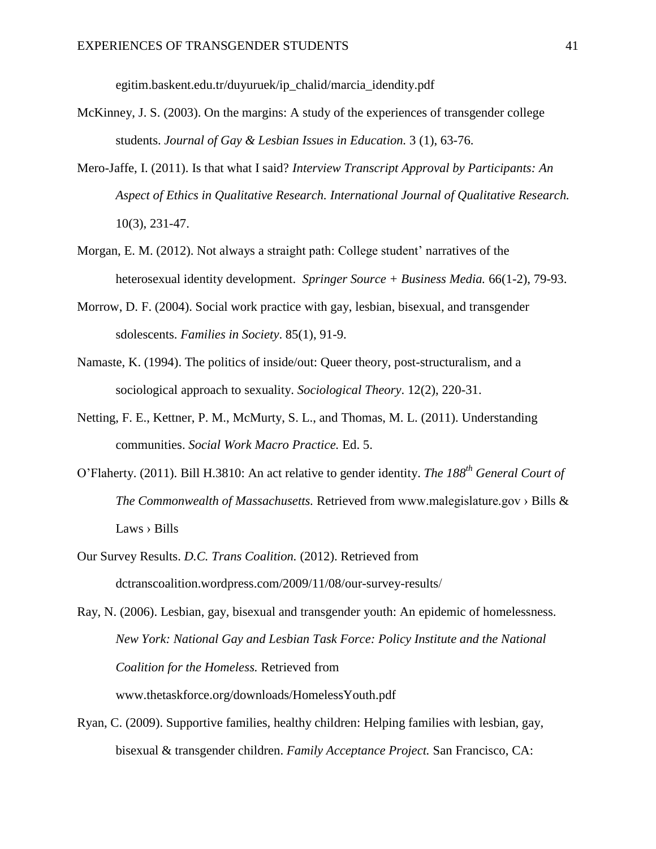egitim.baskent.edu.tr/duyuruek/ip\_chalid/marcia\_idendity.pdf

- McKinney, J. S. (2003). On the margins: A study of the experiences of transgender college students. *Journal of Gay & Lesbian Issues in Education.* 3 (1), 63-76.
- Mero-Jaffe, I. (2011). Is that what I said? *Interview Transcript Approval by Participants: An Aspect of Ethics in Qualitative Research. International Journal of Qualitative Research.* 10(3), 231-47.
- Morgan, E. M. (2012). Not always a straight path: College student' narratives of the heterosexual identity development. *Springer Source + Business Media.* 66(1-2), 79-93.
- Morrow, D. F. (2004). Social work practice with gay, lesbian, bisexual, and transgender sdolescents. *Families in Society*. 85(1), 91-9.
- Namaste, K. (1994). The politics of inside/out: Queer theory, post-structuralism, and a sociological approach to sexuality. *Sociological Theory*. 12(2), 220-31.
- Netting, F. E., Kettner, P. M., McMurty, S. L., and Thomas, M. L. (2011). Understanding communities. *Social Work Macro Practice.* Ed. 5.
- O'Flaherty. (2011). Bill H.3810: An act relative to gender identity. *The 188th General Court of The Commonwealth of Massachusetts.* Retrieved from www.malegislature.gov › Bills & Laws › [Bills](http://www.malegislature.gov/Bills)
- Our Survey Results. *D.C. Trans Coalition.* (2012). Retrieved from dctranscoalition.wordpress.com/2009/11/08/our-survey-results

Ray, N. (2006). Lesbian, gay, bisexual and transgender youth: An epidemic of homelessness. *New York: National Gay and Lesbian Task Force: Policy Institute and the National Coalition for the Homeless.* Retrieved from www.thetaskforce.org/downloads/HomelessYouth.pdf

Ryan, C. (2009). Supportive families, healthy children: Helping families with lesbian, gay, bisexual & transgender children. *Family Acceptance Project.* San Francisco, CA: